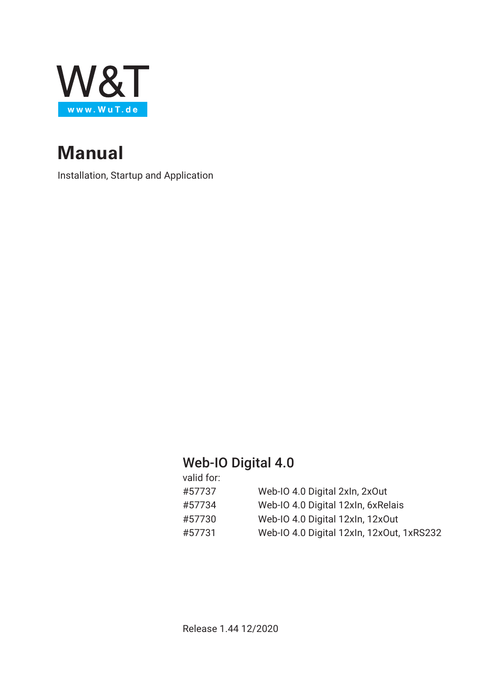

# **Manual**

Installation, Startup and Application

# Web-IO Digital 4.0

| valid for: |                                           |
|------------|-------------------------------------------|
| #57737     | Web-IO 4.0 Digital 2xln, 2x0ut            |
| #57734     | Web-IO 4.0 Digital 12xln, 6xRelais        |
| #57730     | Web-IO 4.0 Digital 12xIn, 12xOut          |
| #57731     | Web-IO 4.0 Digital 12xIn, 12xOut, 1xRS232 |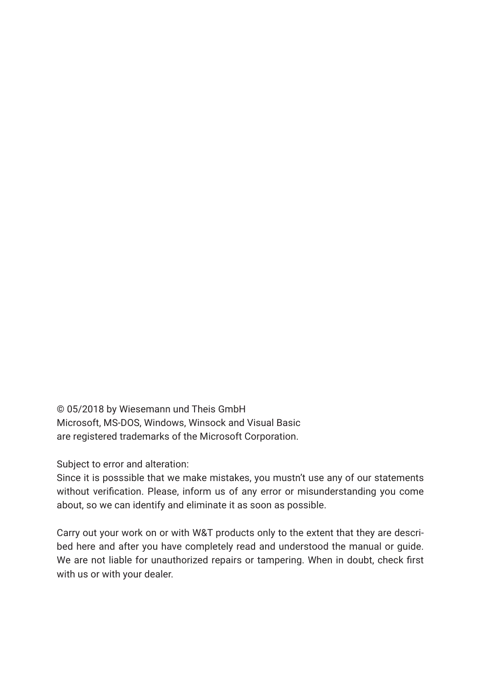© 05/2018 by Wiesemann und Theis GmbH Microsoft, MS-DOS, Windows, Winsock and Visual Basic are registered trademarks of the Microsoft Corporation.

Subject to error and alteration:

Since it is posssible that we make mistakes, you mustn't use any of our statements without verification. Please, inform us of any error or misunderstanding you come about, so we can identify and eliminate it as soon as possible.

Carry out your work on or with W&T products only to the extent that they are described here and after you have completely read and understood the manual or guide. We are not liable for unauthorized repairs or tampering. When in doubt, check first with us or with your dealer.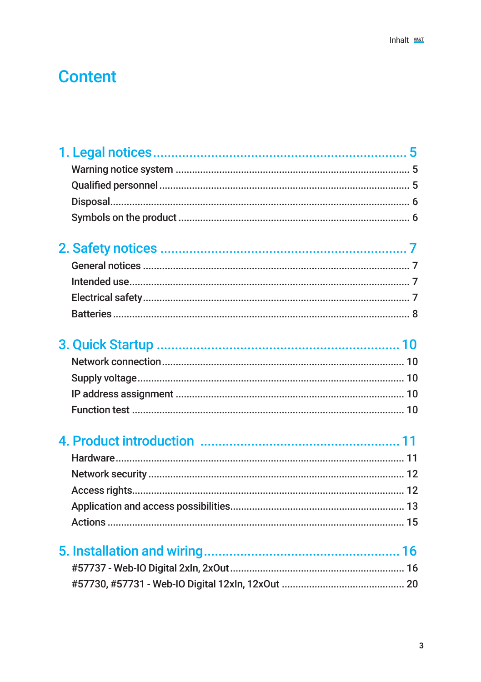# **Content**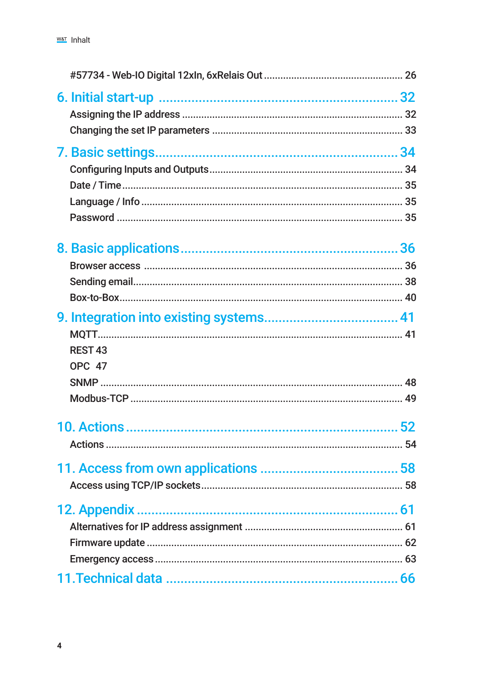| REST <sub>43</sub> |  |
|--------------------|--|
| <b>OPC 47</b>      |  |
|                    |  |
|                    |  |
|                    |  |
|                    |  |
|                    |  |
|                    |  |
|                    |  |
|                    |  |
|                    |  |
|                    |  |
|                    |  |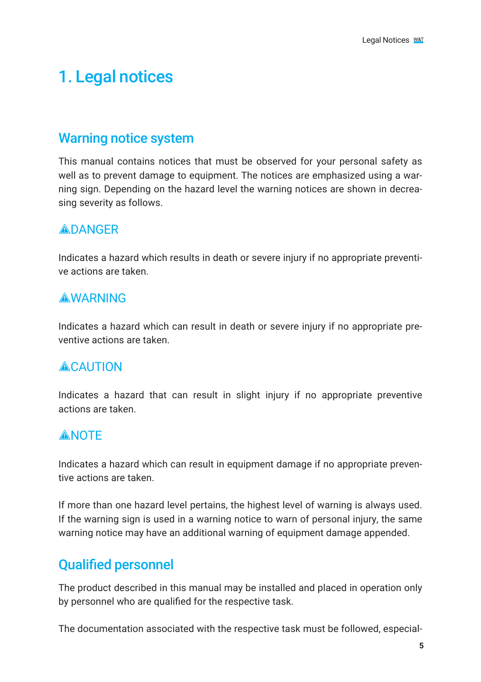# <span id="page-4-0"></span>1. Legal notices

## Warning notice system

This manual contains notices that must be observed for your personal safety as well as to prevent damage to equipment. The notices are emphasized using a warning sign. Depending on the hazard level the warning notices are shown in decreasing severity as follows.

## **ADANGER**

Indicates a hazard which results in death or severe injury if no appropriate preventive actions are taken.

## **AWARNING**

Indicates a hazard which can result in death or severe injury if no appropriate preventive actions are taken.

# **ACAUTION**

Indicates a hazard that can result in slight injury if no appropriate preventive actions are taken.

## **ANOTE**

Indicates a hazard which can result in equipment damage if no appropriate preventive actions are taken.

If more than one hazard level pertains, the highest level of warning is always used. If the warning sign is used in a warning notice to warn of personal injury, the same warning notice may have an additional warning of equipment damage appended.

# Qualified personnel

The product described in this manual may be installed and placed in operation only by personnel who are qualified for the respective task.

The documentation associated with the respective task must be followed, especial-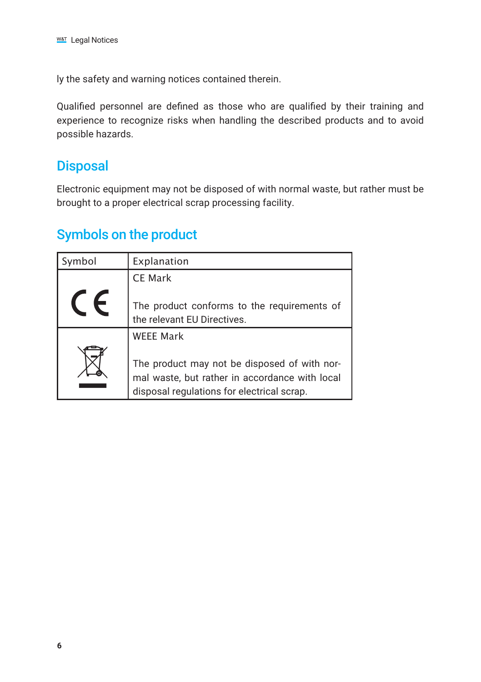<span id="page-5-0"></span>ly the safety and warning notices contained therein.

Qualified personnel are defined as those who are qualified by their training and experience to recognize risks when handling the described products and to avoid possible hazards.

# **Disposal**

Electronic equipment may not be disposed of with normal waste, but rather must be brought to a proper electrical scrap processing facility.

# Symbols on the product

| Symbol | Explanation                                                                                                                                  |
|--------|----------------------------------------------------------------------------------------------------------------------------------------------|
|        | <b>CE Mark</b>                                                                                                                               |
|        | The product conforms to the requirements of<br>the relevant EU Directives.                                                                   |
|        | <b>WEEE Mark</b>                                                                                                                             |
|        | The product may not be disposed of with nor-<br>mal waste, but rather in accordance with local<br>disposal regulations for electrical scrap. |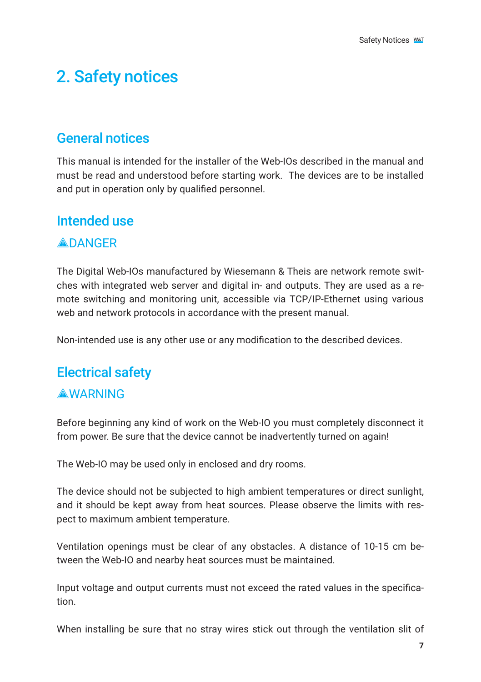# <span id="page-6-0"></span>2. Safety notices

# General notices

This manual is intended for the installer of the Web-IOs described in the manual and must be read and understood before starting work. The devices are to be installed and put in operation only by qualified personnel.

# Intended use

## **ADANGER**

The Digital Web-IOs manufactured by Wiesemann & Theis are network remote switches with integrated web server and digital in- and outputs. They are used as a remote switching and monitoring unit, accessible via TCP/IP-Ethernet using various web and network protocols in accordance with the present manual.

Non-intended use is any other use or any modification to the described devices.

## Electrical safety

## **AWARNING**

Before beginning any kind of work on the Web-IO you must completely disconnect it from power. Be sure that the device cannot be inadvertently turned on again!

The Web-IO may be used only in enclosed and dry rooms.

The device should not be subjected to high ambient temperatures or direct sunlight, and it should be kept away from heat sources. Please observe the limits with respect to maximum ambient temperature.

Ventilation openings must be clear of any obstacles. A distance of 10-15 cm between the Web-IO and nearby heat sources must be maintained.

Input voltage and output currents must not exceed the rated values in the specification.

When installing be sure that no stray wires stick out through the ventilation slit of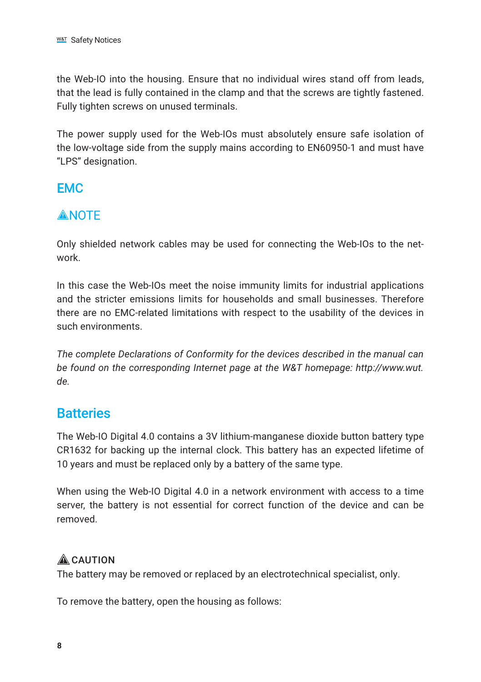<span id="page-7-0"></span>the Web-IO into the housing. Ensure that no individual wires stand off from leads, that the lead is fully contained in the clamp and that the screws are tightly fastened. Fully tighten screws on unused terminals.

The power supply used for the Web-IOs must absolutely ensure safe isolation of the low-voltage side from the supply mains according to EN60950-1 and must have "LPS" designation.

## EMC

## **ANOTE**

Only shielded network cables may be used for connecting the Web-IOs to the network.

In this case the Web-IOs meet the noise immunity limits for industrial applications and the stricter emissions limits for households and small businesses. Therefore there are no EMC-related limitations with respect to the usability of the devices in such environments.

*The complete Declarations of Conformity for the devices described in the manual can be found on the corresponding Internet page at the W&T homepage: http://www.wut. de.*

# **Batteries**

The Web-IO Digital 4.0 contains a 3V lithium-manganese dioxide button battery type CR1632 for backing up the internal clock. This battery has an expected lifetime of 10 years and must be replaced only by a battery of the same type.

When using the Web-IO Digital 4.0 in a network environment with access to a time server, the battery is not essential for correct function of the device and can be removed.

## **A** CAUTION

The battery may be removed or replaced by an electrotechnical specialist, only.

To remove the battery, open the housing as follows: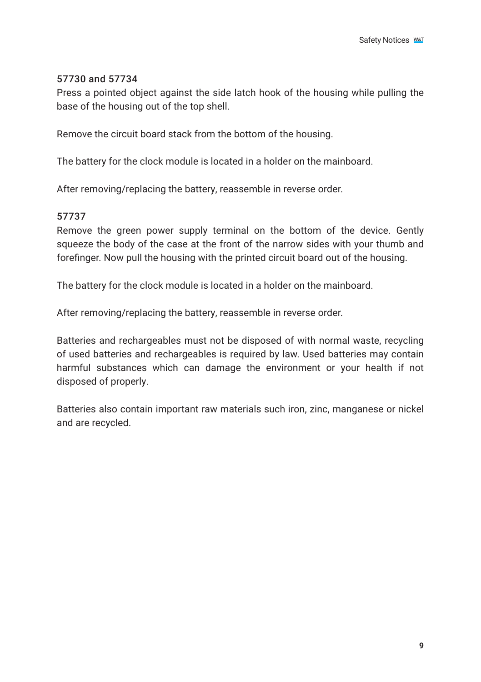### 57730 and 57734

Press a pointed object against the side latch hook of the housing while pulling the base of the housing out of the top shell.

Remove the circuit board stack from the bottom of the housing.

The battery for the clock module is located in a holder on the mainboard.

After removing/replacing the battery, reassemble in reverse order.

## 57737

Remove the green power supply terminal on the bottom of the device. Gently squeeze the body of the case at the front of the narrow sides with your thumb and forefinger. Now pull the housing with the printed circuit board out of the housing.

The battery for the clock module is located in a holder on the mainboard.

After removing/replacing the battery, reassemble in reverse order.

Batteries and rechargeables must not be disposed of with normal waste, recycling of used batteries and rechargeables is required by law. Used batteries may contain harmful substances which can damage the environment or your health if not disposed of properly.

Batteries also contain important raw materials such iron, zinc, manganese or nickel and are recycled.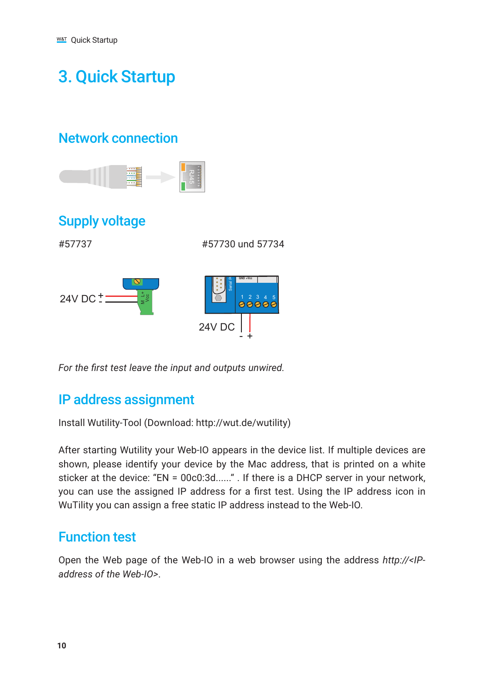# <span id="page-9-0"></span>3. Quick Startup

# Network connection



# Supply voltage

#57737 #57730 und 57734



*For the first test leave the input and outputs unwired.*

# IP address assignment

Install Wutility-Tool (Download: http://wut.de/wutility)

After starting Wutility your Web-IO appears in the device list. If multiple devices are shown, please identify your device by the Mac address, that is printed on a white sticker at the device: "EN = 00c0:3d......" . If there is a DHCP server in your network, you can use the assigned IP address for a first test. Using the IP address icon in WuTility you can assign a free static IP address instead to the Web-IO.

# Function test

Open the Web page of the Web-IO in a web browser using the address *http://<IPaddress of the Web-IO>*.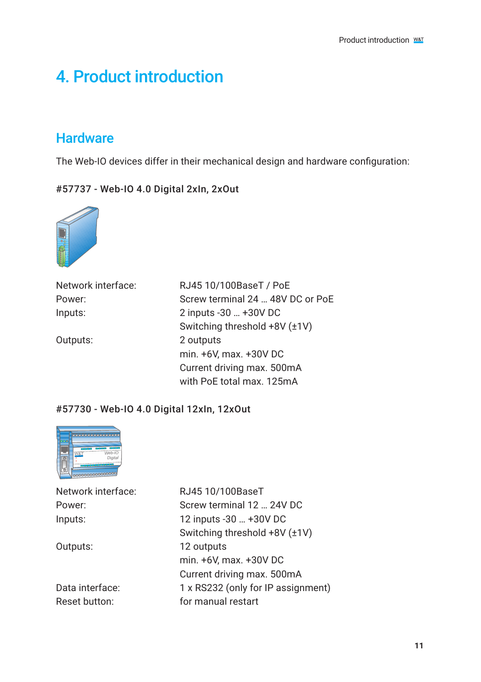# <span id="page-10-0"></span>4. Product introduction

# **Hardware**

The Web-IO devices differ in their mechanical design and hardware configuration:

#57737 - Web-IO 4.0 Digital 2xIn, 2xOut



| Network interface: | RJ45 10/100BaseT / PoE           |
|--------------------|----------------------------------|
| Power:             | Screw terminal 24  48V DC or PoE |
| Inputs:            | 2 inputs -30  +30V DC            |
|                    | Switching threshold +8V (±1V)    |
| Outputs:           | 2 outputs                        |
|                    | min. +6V, max. +30V DC           |
|                    | Current driving max. 500mA       |
|                    | with PoE total max. 125mA        |

## #57730 - Web-IO 4.0 Digital 12xIn, 12xOut



| Network interface: | RJ45 10/100BaseT                   |
|--------------------|------------------------------------|
| Power:             | Screw terminal 12  24V DC          |
| Inputs:            | 12 inputs -30  +30V DC             |
|                    | Switching threshold +8V (±1V)      |
| Outputs:           | 12 outputs                         |
|                    | min. +6V, max. +30V DC             |
|                    | Current driving max. 500mA         |
| Data interface:    | 1 x RS232 (only for IP assignment) |
| Reset button:      | for manual restart                 |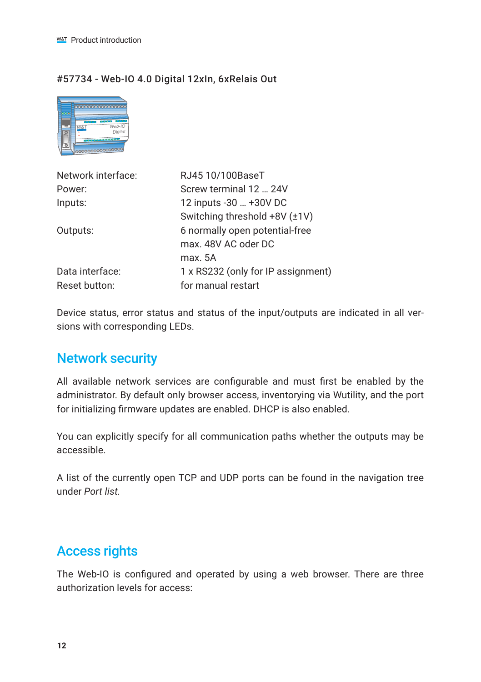### <span id="page-11-0"></span>#57734 - Web-IO 4.0 Digital 12xIn, 6xRelais Out



| Network interface: | RJ45 10/100BaseT                   |
|--------------------|------------------------------------|
| Power:             | Screw terminal 12  24V             |
| Inputs:            | 12 inputs -30  +30V DC             |
|                    | Switching threshold +8V (±1V)      |
| Outputs:           | 6 normally open potential-free     |
|                    | max, 48V AC oder DC                |
|                    | max 5A                             |
| Data interface:    | 1 x RS232 (only for IP assignment) |
| Reset button:      | for manual restart                 |

Device status, error status and status of the input/outputs are indicated in all versions with corresponding LEDs.

# Network security

All available network services are configurable and must first be enabled by the administrator. By default only browser access, inventorying via Wutility, and the port for initializing firmware updates are enabled. DHCP is also enabled.

You can explicitly specify for all communication paths whether the outputs may be accessible.

A list of the currently open TCP and UDP ports can be found in the navigation tree under *Port list.*

# Access rights

The Web-IO is configured and operated by using a web browser. There are three authorization levels for access: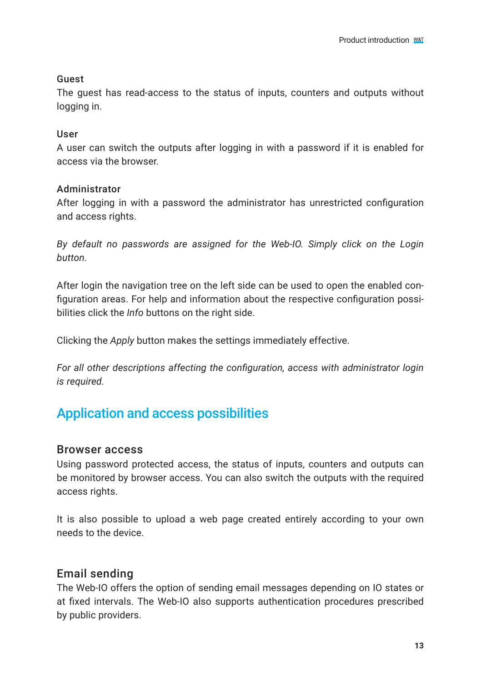### <span id="page-12-0"></span>Guest

The guest has read-access to the status of inputs, counters and outputs without logging in.

### User

A user can switch the outputs after logging in with a password if it is enabled for access via the browser.

#### Administrator

After logging in with a password the administrator has unrestricted configuration and access rights.

*By default no passwords are assigned for the Web-IO. Simply click on the Login button.*

After login the navigation tree on the left side can be used to open the enabled configuration areas. For help and information about the respective configuration possibilities click the *Info* buttons on the right side.

Clicking the *Apply* button makes the settings immediately effective.

*For all other descriptions affecting the configuration, access with administrator login is required.*

# Application and access possibilities

## Browser access

Using password protected access, the status of inputs, counters and outputs can be monitored by browser access. You can also switch the outputs with the required access rights.

It is also possible to upload a web page created entirely according to your own needs to the device.

## Email sending

The Web-IO offers the option of sending email messages depending on IO states or at fixed intervals. The Web-IO also supports authentication procedures prescribed by public providers.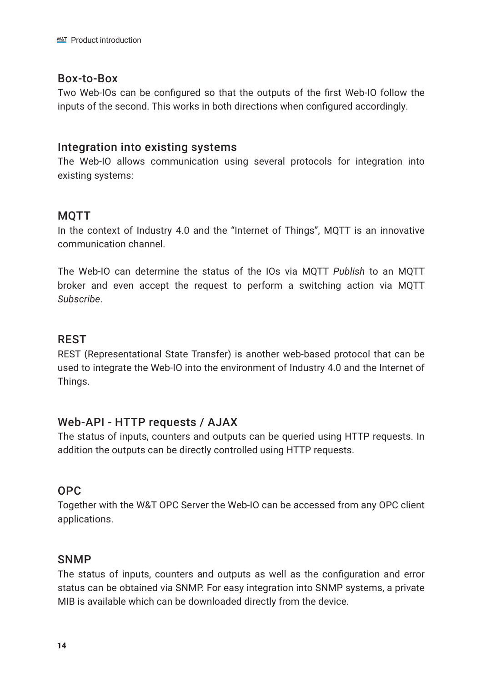### Box-to-Box

Two Web-IOs can be configured so that the outputs of the first Web-IO follow the inputs of the second. This works in both directions when configured accordingly.

### Integration into existing systems

The Web-IO allows communication using several protocols for integration into existing systems:

## **MOTT**

In the context of Industry 4.0 and the "Internet of Things", MQTT is an innovative communication channel.

The Web-IO can determine the status of the IOs via MQTT *Publish* to an MQTT broker and even accept the request to perform a switching action via MQTT *Subscribe*.

## REST

REST (Representational State Transfer) is another web-based protocol that can be used to integrate the Web-IO into the environment of Industry 4.0 and the Internet of Things.

## Web-API - HTTP requests / AJAX

The status of inputs, counters and outputs can be queried using HTTP requests. In addition the outputs can be directly controlled using HTTP requests.

### OPC

Together with the W&T OPC Server the Web-IO can be accessed from any OPC client applications.

### **SNMP**

The status of inputs, counters and outputs as well as the configuration and error status can be obtained via SNMP. For easy integration into SNMP systems, a private MIB is available which can be downloaded directly from the device.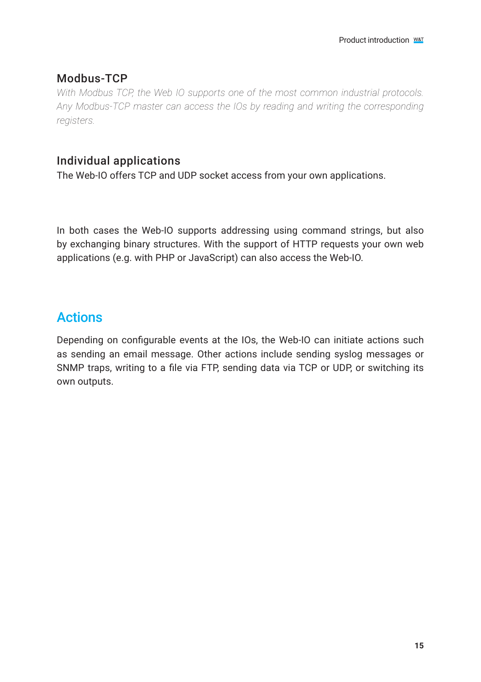## <span id="page-14-0"></span>Modbus-TCP

*With Modbus TCP, the Web IO supports one of the most common industrial protocols. Any Modbus-TCP master can access the IOs by reading and writing the corresponding registers.*

## Individual applications

The Web-IO offers TCP and UDP socket access from your own applications.

In both cases the Web-IO supports addressing using command strings, but also by exchanging binary structures. With the support of HTTP requests your own web applications (e.g. with PHP or JavaScript) can also access the Web-IO.

# Actions

Depending on configurable events at the IOs, the Web-IO can initiate actions such as sending an email message. Other actions include sending syslog messages or SNMP traps, writing to a file via FTP, sending data via TCP or UDP, or switching its own outputs.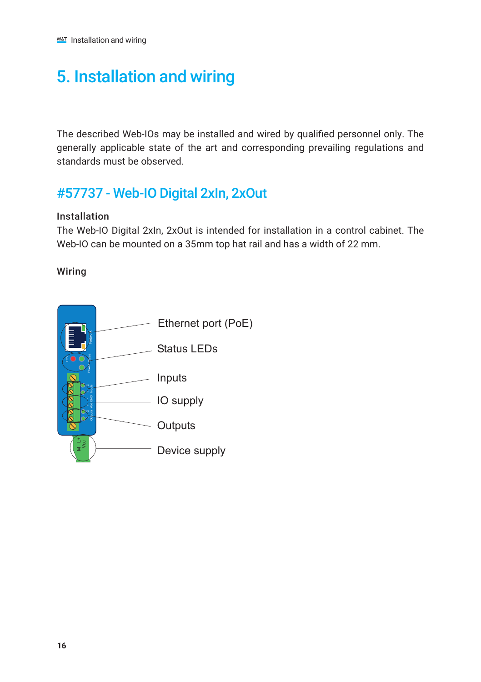# <span id="page-15-0"></span>5. Installation and wiring

The described Web-IOs may be installed and wired by qualified personnel only. The generally applicable state of the art and corresponding prevailing regulations and standards must be observed.

# #57737 - Web-IO Digital 2xIn, 2xOut

#### Installation

The Web-IO Digital 2xIn, 2xOut is intended for installation in a control cabinet. The Web-IO can be mounted on a 35mm top hat rail and has a width of 22 mm.

### Wiring

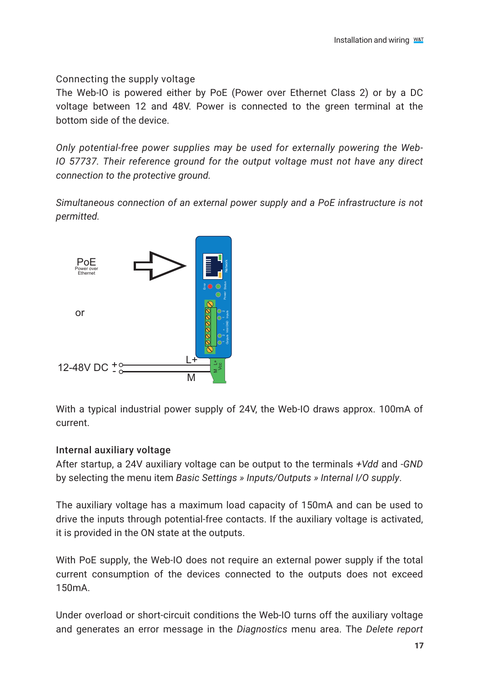Connecting the supply voltage

The Web-IO is powered either by PoE (Power over Ethernet Class 2) or by a DC voltage between 12 and 48V. Power is connected to the green terminal at the bottom side of the device.

*Only potential-free power supplies may be used for externally powering the Web-IO 57737. Their reference ground for the output voltage must not have any direct connection to the protective ground.*

*Simultaneous connection of an external power supply and a PoE infrastructure is not permitted.*



With a typical industrial power supply of 24V, the Web-IO draws approx. 100mA of current.

## Internal auxiliary voltage

After startup, a 24V auxiliary voltage can be output to the terminals *+Vdd* and *-GND* by selecting the menu item *Basic Settings » Inputs/Outputs » Internal I/O supply*.

The auxiliary voltage has a maximum load capacity of 150mA and can be used to drive the inputs through potential-free contacts. If the auxiliary voltage is activated, it is provided in the ON state at the outputs.

With PoE supply, the Web-IO does not require an external power supply if the total current consumption of the devices connected to the outputs does not exceed 150mA.

Under overload or short-circuit conditions the Web-IO turns off the auxiliary voltage and generates an error message in the *Diagnostics* menu area. The *Delete report*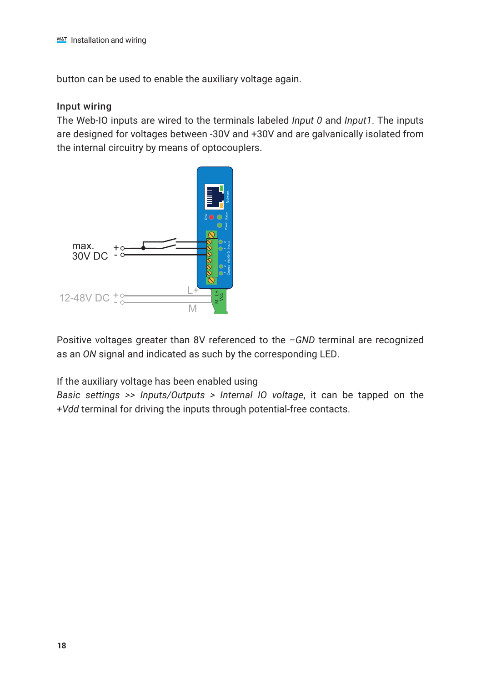button can be used to enable the auxiliary voltage again.

#### Input wiring

The Web-IO inputs are wired to the terminals labeled *Input 0* and *Input1*. The inputs are designed for voltages between -30V and +30V and are galvanically isolated from the internal circuitry by means of optocouplers.



Positive voltages greater than 8V referenced to the *–GND* terminal are recognized as an *ON* signal and indicated as such by the corresponding LED.

If the auxiliary voltage has been enabled using

*Basic settings >> Inputs/Outputs > Internal IO voltage*, it can be tapped on the *+Vdd* terminal for driving the inputs through potential-free contacts.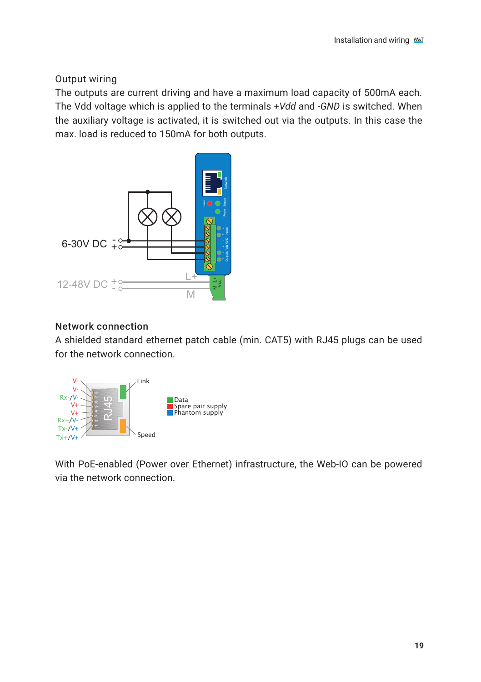Output wiring

The outputs are current driving and have a maximum load capacity of 500mA each. The Vdd voltage which is applied to the terminals *+Vdd* and *-GND* is switched. When the auxiliary voltage is activated, it is switched out via the outputs. In this case the max. load is reduced to 150mA for both outputs.



#### Network connection

A shielded standard ethernet patch cable (min. CAT5) with RJ45 plugs can be used for the network connection.



With PoE-enabled (Power over Ethernet) infrastructure, the Web-IO can be powered via the network connection.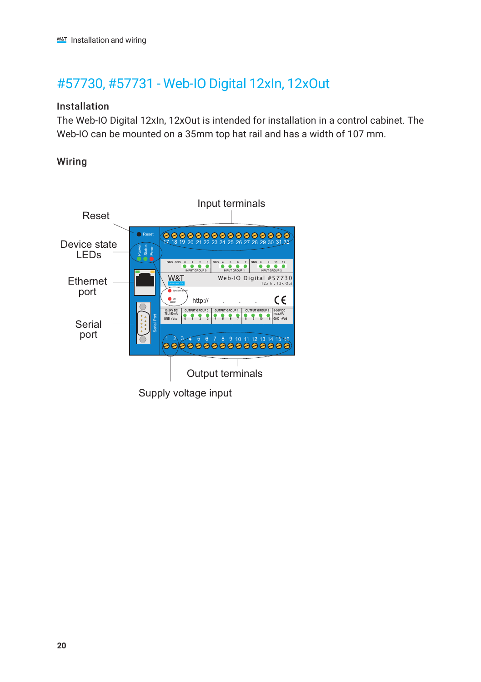# <span id="page-19-0"></span>#57730, #57731 - Web-IO Digital 12xIn, 12xOut

### Installation

The Web-IO Digital 12xIn, 12xOut is intended for installation in a control cabinet. The Web-IO can be mounted on a 35mm top hat rail and has a width of 107 mm.

## Wiring

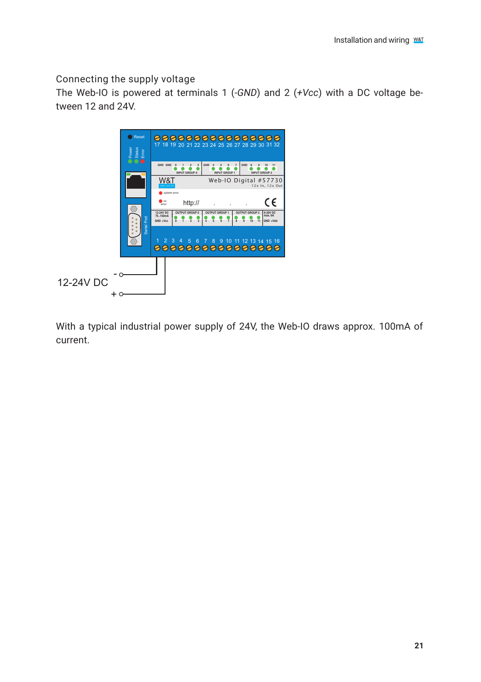Connecting the supply voltage

The Web-IO is powered at terminals 1 (*-GND*) and 2 (*+Vcc*) with a DC voltage between 12 and 24V.



With a typical industrial power supply of 24V, the Web-IO draws approx. 100mA of current.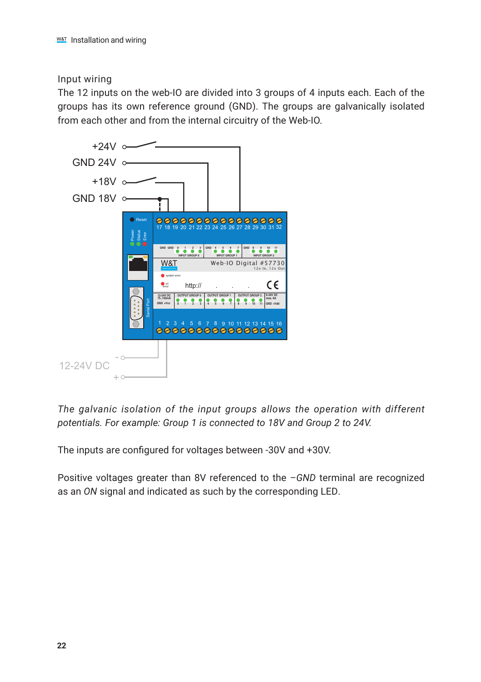Input wiring

The 12 inputs on the web-IO are divided into 3 groups of 4 inputs each. Each of the groups has its own reference ground (GND). The groups are galvanically isolated from each other and from the internal circuitry of the Web-IO.



*The galvanic isolation of the input groups allows the operation with different potentials. For example: Group 1 is connected to 18V and Group 2 to 24V.* 

The inputs are configured for voltages between -30V and +30V.

Positive voltages greater than 8V referenced to the *–GND* terminal are recognized as an *ON* signal and indicated as such by the corresponding LED.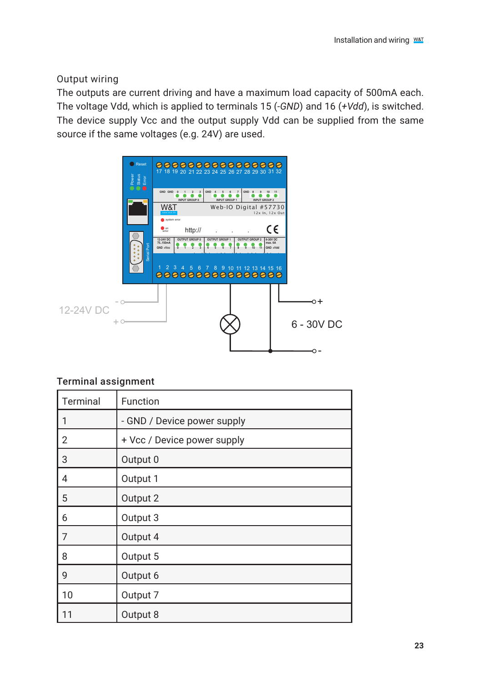Output wiring

The outputs are current driving and have a maximum load capacity of 500mA each. The voltage Vdd, which is applied to terminals 15 (*-GND*) and 16 (*+Vdd*), is switched. The device supply Vcc and the output supply Vdd can be supplied from the same source if the same voltages (e.g. 24V) are used.



## Terminal assignment

| Terminal | Function                    |
|----------|-----------------------------|
| 1        | - GND / Device power supply |
| 2        | + Vcc / Device power supply |
| 3        | Output 0                    |
| 4        | Output 1                    |
| 5        | Output 2                    |
| 6        | Output 3                    |
| 7        | Output 4                    |
| 8        | Output 5                    |
| 9        | Output 6                    |
| 10       | Output 7                    |
| 11       | Output 8                    |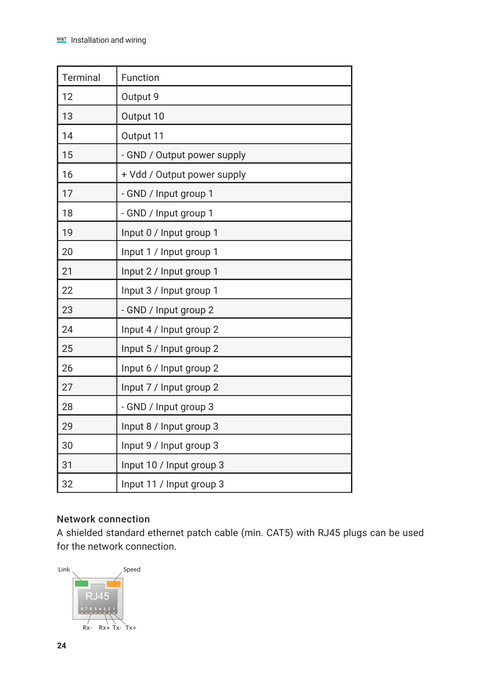| Terminal | Function                    |
|----------|-----------------------------|
| 12       | Output 9                    |
| 13       | Output 10                   |
| 14       | Output 11                   |
| 15       | - GND / Output power supply |
| 16       | + Vdd / Output power supply |
| 17       | - GND / Input group 1       |
| 18       | - GND / Input group 1       |
| 19       | Input 0 / Input group 1     |
| 20       | Input 1 / Input group 1     |
| 21       | Input 2 / Input group 1     |
| 22       | Input 3 / Input group 1     |
| 23       | - GND / Input group 2       |
| 24       | Input 4 / Input group 2     |
| 25       | Input 5 / Input group 2     |
| 26       | Input 6 / Input group 2     |
| 27       | Input 7 / Input group 2     |
| 28       | - GND / Input group 3       |
| 29       | Input 8 / Input group 3     |
| 30       | Input 9 / Input group 3     |
| 31       | Input 10 / Input group 3    |
| 32       | Input 11 / Input group 3    |

## Network connection

A shielded standard ethernet patch cable (min. CAT5) with RJ45 plugs can be used for the network connection.

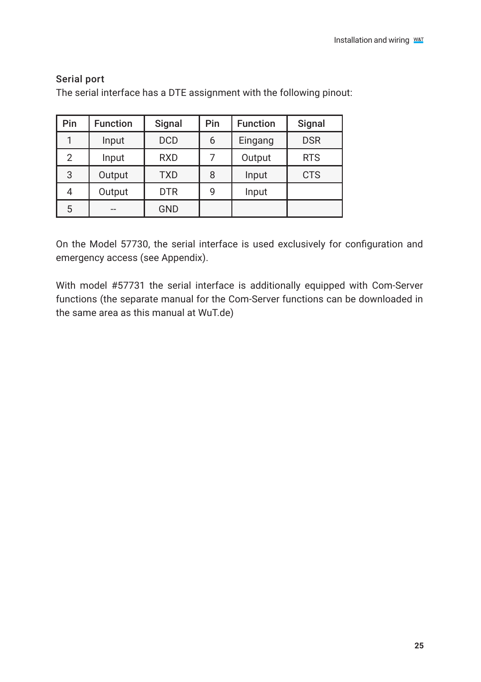| Pin            | <b>Function</b> | Signal     | Pin | <b>Function</b> | Signal     |
|----------------|-----------------|------------|-----|-----------------|------------|
|                | Input           | <b>DCD</b> | 6   | Eingang         | <b>DSR</b> |
| $\overline{2}$ | Input           | <b>RXD</b> |     | Output          | <b>RTS</b> |
| 3              | Output          | <b>TXD</b> | 8   | Input           | <b>CTS</b> |
| 4              | Output          | <b>DTR</b> | g   | Input           |            |
| 5              | --              | <b>GND</b> |     |                 |            |

#### Serial port

The serial interface has a DTE assignment with the following pinout:

On the Model 57730, the serial interface is used exclusively for configuration and emergency access (see Appendix).

With model #57731 the serial interface is additionally equipped with Com-Server functions (the separate manual for the Com-Server functions can be downloaded in the same area as this manual at WuT.de)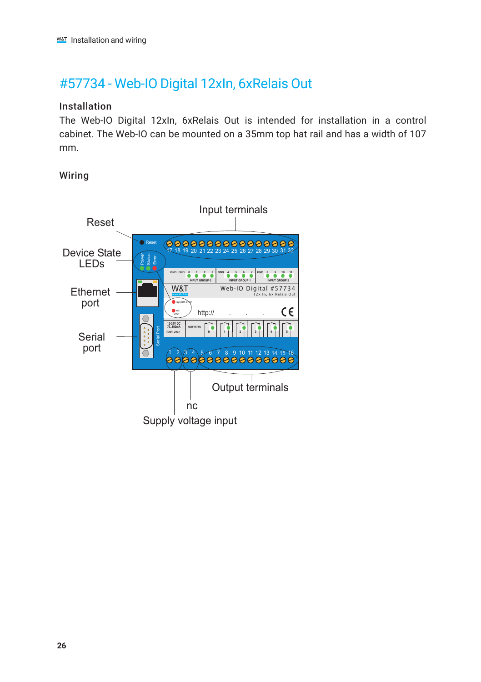# <span id="page-25-0"></span>#57734 - Web-IO Digital 12xIn, 6xRelais Out

### Installation

The Web-IO Digital 12xIn, 6xRelais Out is intended for installation in a control cabinet. The Web-IO can be mounted on a 35mm top hat rail and has a width of 107 mm.

### Wiring

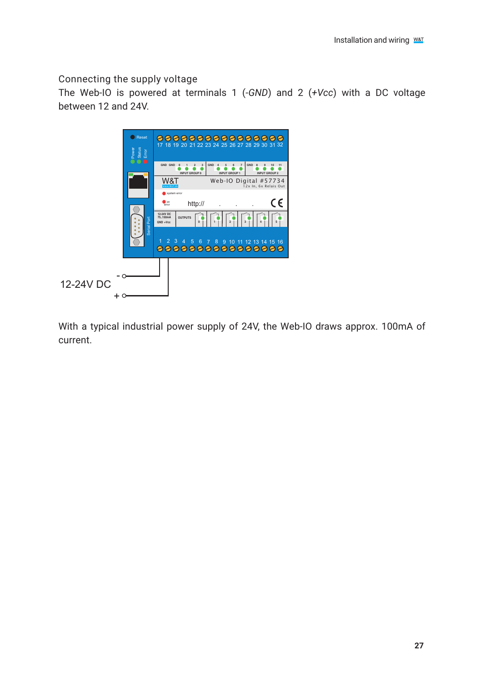Connecting the supply voltage

The Web-IO is powered at terminals 1 (*-GND*) and 2 (*+Vcc*) with a DC voltage between 12 and 24V.



With a typical industrial power supply of 24V, the Web-IO draws approx. 100mA of current.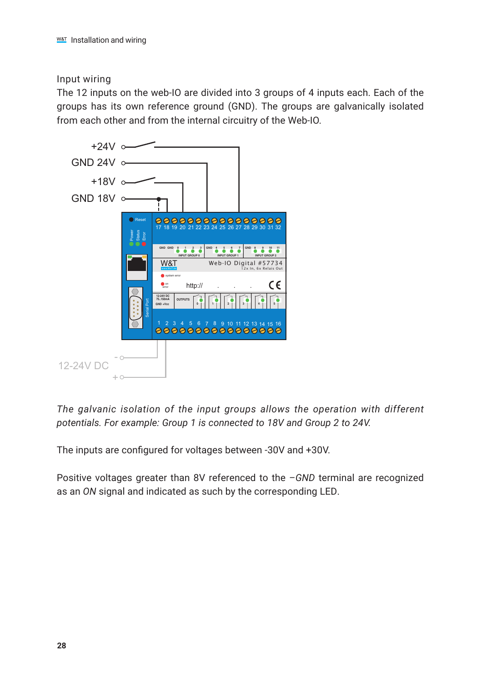Input wiring

The 12 inputs on the web-IO are divided into 3 groups of 4 inputs each. Each of the groups has its own reference ground (GND). The groups are galvanically isolated from each other and from the internal circuitry of the Web-IO.



*The galvanic isolation of the input groups allows the operation with different potentials. For example: Group 1 is connected to 18V and Group 2 to 24V.* 

The inputs are configured for voltages between -30V and +30V.

Positive voltages greater than 8V referenced to the *–GND* terminal are recognized as an *ON* signal and indicated as such by the corresponding LED.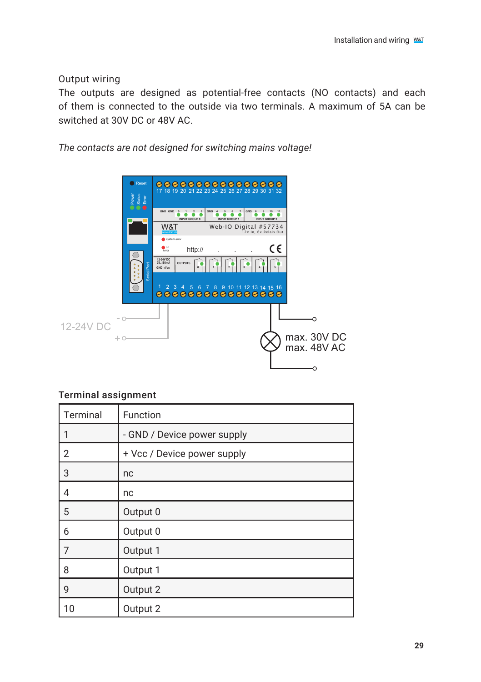Output wiring

The outputs are designed as potential-free contacts (NO contacts) and each of them is connected to the outside via two terminals. A maximum of 5A can be switched at 30V DC or 48V AC.

*The contacts are not designed for switching mains voltage!*



#### Terminal assignment

| Terminal       | Function                    |
|----------------|-----------------------------|
| 1              | - GND / Device power supply |
| $\overline{2}$ | + Vcc / Device power supply |
| 3              | nc                          |
| 4              | nc                          |
| 5              | Output 0                    |
| 6              | Output 0                    |
| 7              | Output 1                    |
| 8              | Output 1                    |
| 9              | Output 2                    |
| 10             | Output 2                    |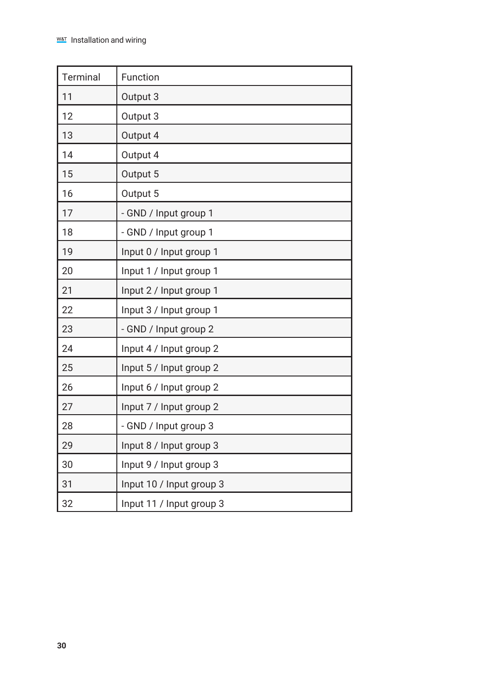| Terminal | Function                 |
|----------|--------------------------|
| 11       | Output 3                 |
| 12       | Output 3                 |
| 13       | Output 4                 |
| 14       | Output 4                 |
| 15       | Output 5                 |
| 16       | Output 5                 |
| 17       | - GND / Input group 1    |
| 18       | - GND / Input group 1    |
| 19       | Input 0 / Input group 1  |
| 20       | Input 1 / Input group 1  |
| 21       | Input 2 / Input group 1  |
| 22       | Input 3 / Input group 1  |
| 23       | - GND / Input group 2    |
| 24       | Input 4 / Input group 2  |
| 25       | Input 5 / Input group 2  |
| 26       | Input 6 / Input group 2  |
| 27       | Input 7 / Input group 2  |
| 28       | - GND / Input group 3    |
| 29       | Input 8 / Input group 3  |
| 30       | Input 9 / Input group 3  |
| 31       | Input 10 / Input group 3 |
| 32       | Input 11 / Input group 3 |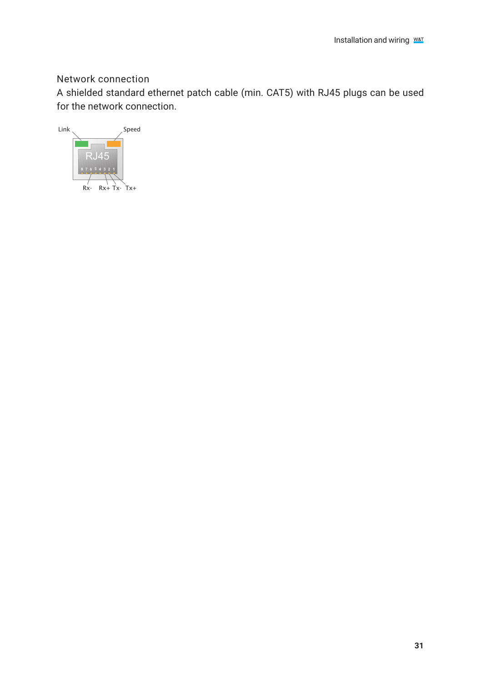## Network connection

A shielded standard ethernet patch cable (min. CAT5) with RJ45 plugs can be used for the network connection.

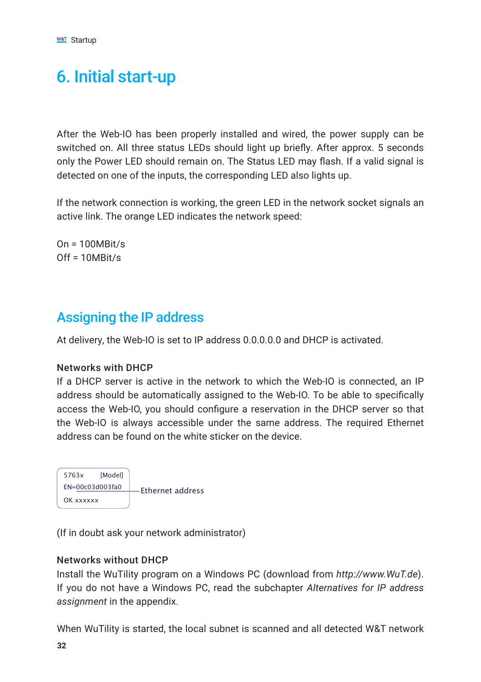# <span id="page-31-0"></span>6. Initial start-up

After the Web-IO has been properly installed and wired, the power supply can be switched on. All three status LEDs should light up briefly. After approx. 5 seconds only the Power LED should remain on. The Status LED may flash. If a valid signal is detected on one of the inputs, the corresponding LED also lights up.

If the network connection is working, the green LED in the network socket signals an active link. The orange LED indicates the network speed:

 $On = 100MRit/s$  $Off = 10MRit/s$ 

# Assigning the IP address

At delivery, the Web-IO is set to IP address 0.0.0.0.0 and DHCP is activated.

#### Networks with DHCP

If a DHCP server is active in the network to which the Web-IO is connected, an IP address should be automatically assigned to the Web-IO. To be able to specifically access the Web-IO, you should configure a reservation in the DHCP server so that the Web-IO is always accessible under the same address. The required Ethernet address can be found on the white sticker on the device.



(If in doubt ask your network administrator)

#### Networks without DHCP

Install the WuTility program on a Windows PC (download from *http://www.WuT.de*). If you do not have a Windows PC, read the subchapter *Alternatives for IP address assignment* in the appendix.

When WuTility is started, the local subnet is scanned and all detected W&T network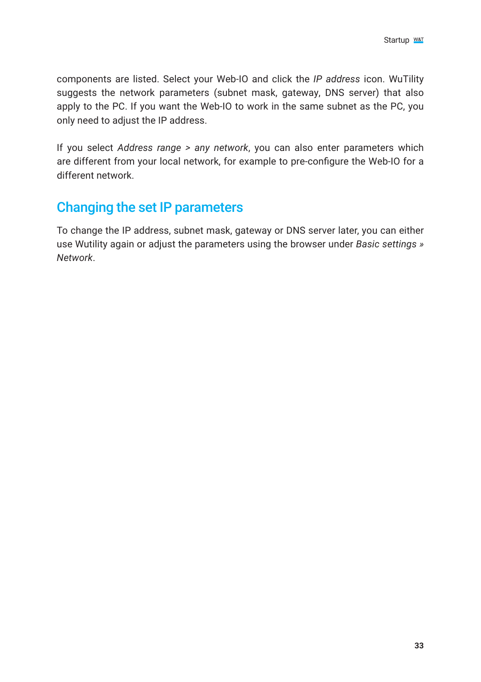<span id="page-32-0"></span>components are listed. Select your Web-IO and click the *IP address* icon. WuTility suggests the network parameters (subnet mask, gateway, DNS server) that also apply to the PC. If you want the Web-IO to work in the same subnet as the PC, you only need to adjust the IP address.

If you select *Address range > any network*, you can also enter parameters which are different from your local network, for example to pre-configure the Web-IO for a different network.

# Changing the set IP parameters

To change the IP address, subnet mask, gateway or DNS server later, you can either use Wutility again or adjust the parameters using the browser under *Basic settings » Network*.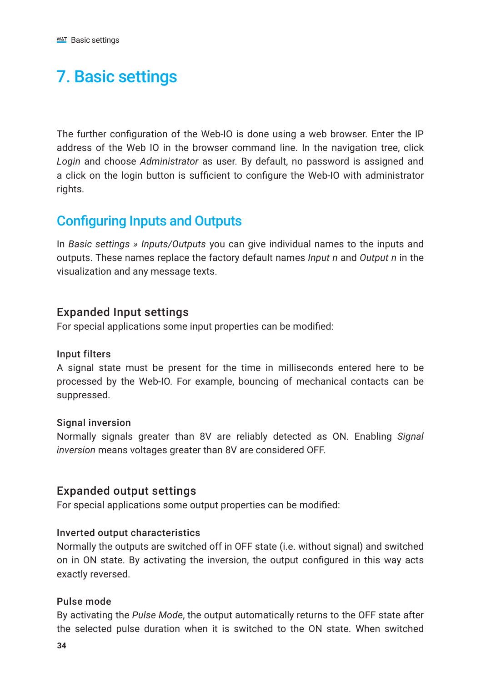# <span id="page-33-0"></span>7. Basic settings

The further configuration of the Web-IO is done using a web browser. Enter the IP address of the Web IO in the browser command line. In the navigation tree, click *Login* and choose *Administrator* as user. By default, no password is assigned and a click on the login button is sufficient to configure the Web-IO with administrator rights.

# Configuring Inputs and Outputs

In *Basic settings » Inputs/Outputs* you can give individual names to the inputs and outputs. These names replace the factory default names *Input n* and *Output n* in the visualization and any message texts.

## Expanded Input settings

For special applications some input properties can be modified:

#### Input filters

A signal state must be present for the time in milliseconds entered here to be processed by the Web-IO. For example, bouncing of mechanical contacts can be suppressed.

#### Signal inversion

Normally signals greater than 8V are reliably detected as ON. Enabling *Signal inversion* means voltages greater than 8V are considered OFF.

## Expanded output settings

For special applications some output properties can be modified:

#### Inverted output characteristics

Normally the outputs are switched off in OFF state (i.e. without signal) and switched on in ON state. By activating the inversion, the output configured in this way acts exactly reversed.

#### Pulse mode

By activating the *Pulse Mode*, the output automatically returns to the OFF state after the selected pulse duration when it is switched to the ON state. When switched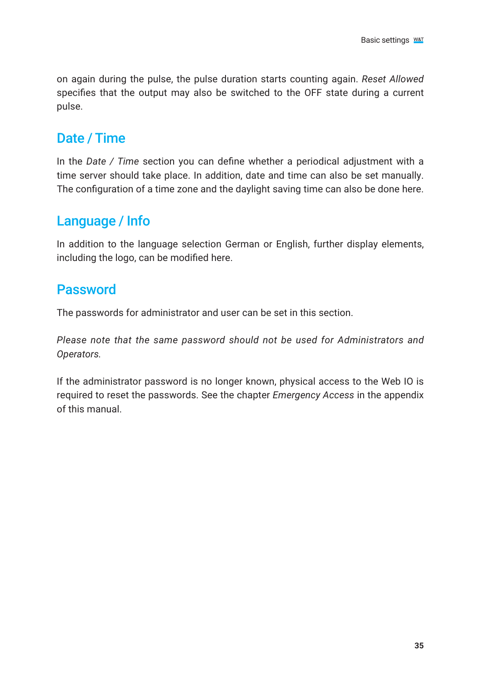<span id="page-34-0"></span>on again during the pulse, the pulse duration starts counting again. *Reset Allowed* specifies that the output may also be switched to the OFF state during a current pulse.

## Date / Time

In the *Date / Time* section you can define whether a periodical adjustment with a time server should take place. In addition, date and time can also be set manually. The configuration of a time zone and the daylight saving time can also be done here.

# Language / Info

In addition to the language selection German or English, further display elements, including the logo, can be modified here.

## Password

The passwords for administrator and user can be set in this section.

*Please note that the same password should not be used for Administrators and Operators.*

If the administrator password is no longer known, physical access to the Web IO is required to reset the passwords. See the chapter *Emergency Access* in the appendix of this manual.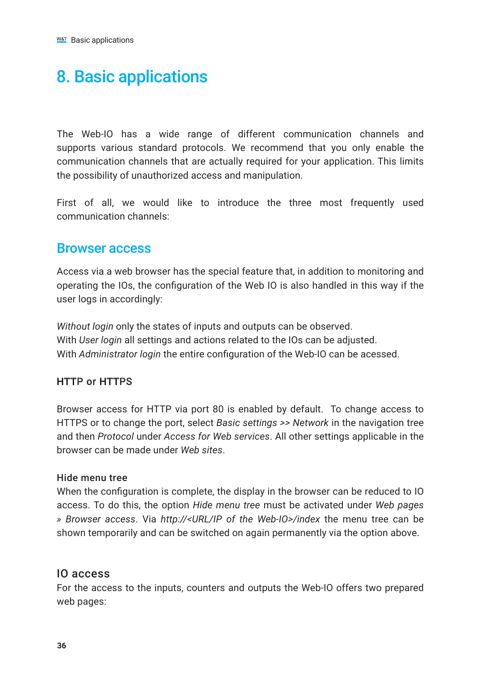# <span id="page-35-0"></span>8. Basic applications

The Web-IO has a wide range of different communication channels and supports various standard protocols. We recommend that you only enable the communication channels that are actually required for your application. This limits the possibility of unauthorized access and manipulation.

First of all, we would like to introduce the three most frequently used communication channels:

## Browser access

Access via a web browser has the special feature that, in addition to monitoring and operating the IOs, the configuration of the Web IO is also handled in this way if the user logs in accordingly:

*Without login* only the states of inputs and outputs can be observed. With *User login* all settings and actions related to the IOs can be adjusted. With *Administrator login* the entire configuration of the Web-IO can be acessed.

## HTTP or HTTPS

Browser access for HTTP via port 80 is enabled by default. To change access to HTTPS or to change the port, select *Basic settings >> Network* in the navigation tree and then *Protocol* under *Access for Web services*. All other settings applicable in the browser can be made under *Web sites*.

#### Hide menu tree

When the configuration is complete, the display in the browser can be reduced to IO access. To do this, the option *Hide menu tree* must be activated under *Web pages » Browser access*. Via *http://<URL/IP of the Web-IO>/index* the menu tree can be shown temporarily and can be switched on again permanently via the option above.

## IO access

For the access to the inputs, counters and outputs the Web-IO offers two prepared web pages: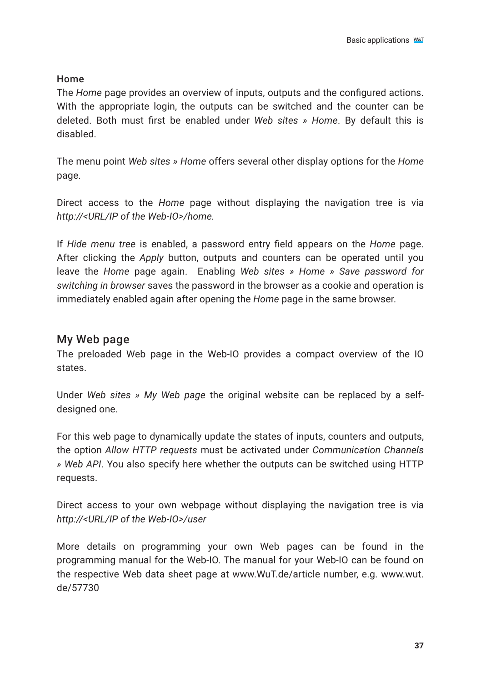#### Home

The *Home* page provides an overview of inputs, outputs and the configured actions. With the appropriate login, the outputs can be switched and the counter can be deleted. Both must first be enabled under *Web sites » Home*. By default this is disabled.

The menu point *Web sites » Home* offers several other display options for the *Home* page.

Direct access to the *Home* page without displaying the navigation tree is via *http://<URL/IP of the Web-IO>/home.*

If *Hide menu tree* is enabled, a password entry field appears on the *Home* page. After clicking the *Apply* button, outputs and counters can be operated until you leave the *Home* page again. Enabling *Web sites » Home » Save password for switching in browser* saves the password in the browser as a cookie and operation is immediately enabled again after opening the *Home* page in the same browser.

### My Web page

The preloaded Web page in the Web-IO provides a compact overview of the IO states.

Under *Web sites » My Web page* the original website can be replaced by a selfdesigned one.

For this web page to dynamically update the states of inputs, counters and outputs, the option *Allow HTTP requests* must be activated under *Communication Channels » Web API*. You also specify here whether the outputs can be switched using HTTP requests.

Direct access to your own webpage without displaying the navigation tree is via *http://<URL/IP of the Web-IO>/user*

More details on programming your own Web pages can be found in the programming manual for the Web-IO. The manual for your Web-IO can be found on the respective Web data sheet page at www.WuT.de/article number, e.g. www.wut. de/57730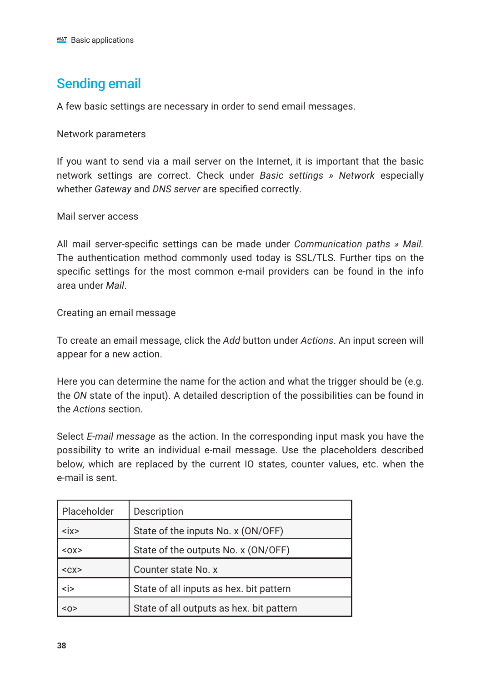# Sending email

A few basic settings are necessary in order to send email messages.

Network parameters

If you want to send via a mail server on the Internet, it is important that the basic network settings are correct. Check under *Basic settings » Network* especially whether *Gateway* and *DNS server* are specified correctly.

Mail server access

All mail server-specific settings can be made under *Communication paths » Mail.* The authentication method commonly used today is SSL/TLS. Further tips on the specific settings for the most common e-mail providers can be found in the info area under *Mail*.

Creating an email message

To create an email message, click the *Add* button under *Actions*. An input screen will appear for a new action.

Here you can determine the name for the action and what the trigger should be (e.g. the *ON* state of the input). A detailed description of the possibilities can be found in the *Actions* section.

Select *E-mail message* as the action. In the corresponding input mask you have the possibility to write an individual e-mail message. Use the placeholders described below, which are replaced by the current IO states, counter values, etc. when the e-mail is sent.

| Placeholder                 | Description                              |
|-----------------------------|------------------------------------------|
| $\langle$ ix $\rangle$      | State of the inputs No. x (ON/OFF)       |
| $<\text{OX}$                | State of the outputs No. x (ON/OFF)      |
| $<$ $<$ $<$ $<$ $<$ $<$ $>$ | Counter state No. x                      |
| $\langle i \rangle$         | State of all inputs as hex. bit pattern  |
| $O$                         | State of all outputs as hex. bit pattern |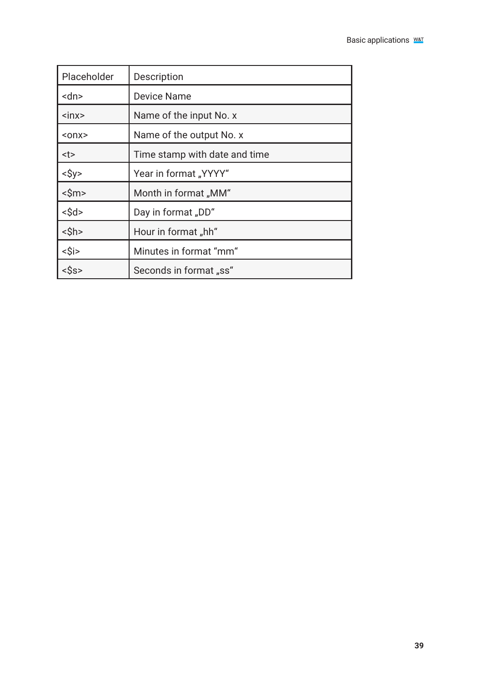| Placeholder                   | Description                   |
|-------------------------------|-------------------------------|
| <dn></dn>                     | Device Name                   |
| $\sin x$                      | Name of the input No. x       |
| $onx$                         | Name of the output No. x      |
| <t></t>                       | Time stamp with date and time |
| $<\frac{1}{2}y>$              | Year in format "YYYY"         |
| $<\frac{\text{Sm}}{\text{m}}$ | Month in format "MM"          |
| $<$ \$d>                      | Day in format "DD"            |
| $<$ \$h>                      | Hour in format "hh"           |
| <\$i>                         | Minutes in format "mm"        |
| <\$s>                         | Seconds in format "ss"        |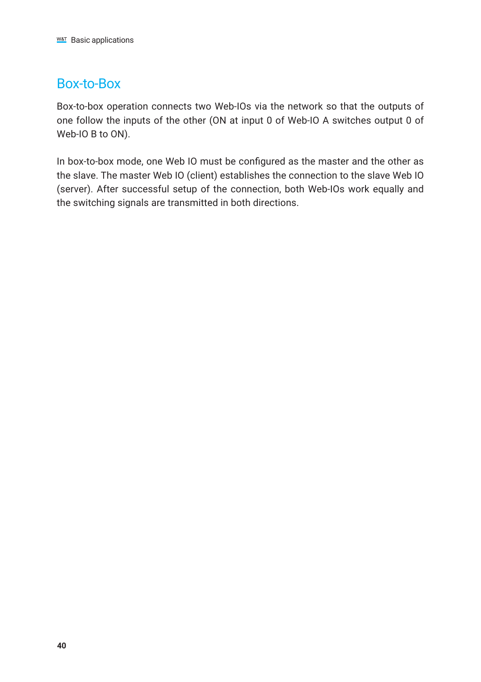# Box-to-Box

Box-to-box operation connects two Web-IOs via the network so that the outputs of one follow the inputs of the other (ON at input 0 of Web-IO A switches output 0 of Web-IO B to ON).

In box-to-box mode, one Web IO must be configured as the master and the other as the slave. The master Web IO (client) establishes the connection to the slave Web IO (server). After successful setup of the connection, both Web-IOs work equally and the switching signals are transmitted in both directions.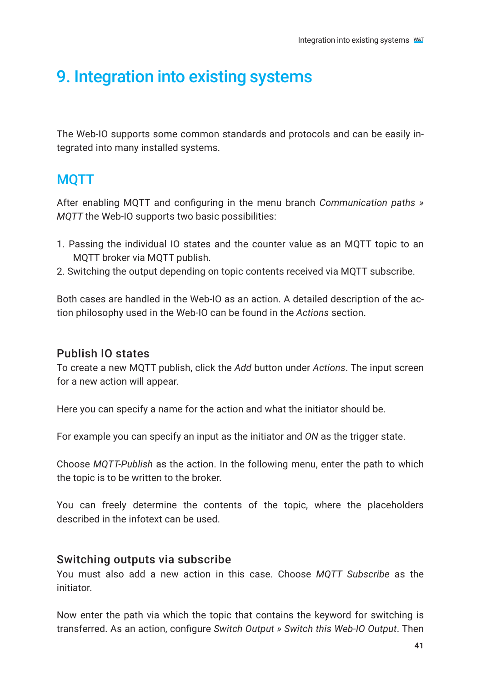# 9. Integration into existing systems

The Web-IO supports some common standards and protocols and can be easily integrated into many installed systems.

# **MOTT**

After enabling MQTT and configuring in the menu branch *Communication paths » MQTT* the Web-IO supports two basic possibilities:

- 1. Passing the individual IO states and the counter value as an MQTT topic to an MQTT broker via MQTT publish.
- 2. Switching the output depending on topic contents received via MQTT subscribe.

Both cases are handled in the Web-IO as an action. A detailed description of the action philosophy used in the Web-IO can be found in the *Actions* section.

## Publish IO states

To create a new MQTT publish, click the *Add* button under *Actions*. The input screen for a new action will appear.

Here you can specify a name for the action and what the initiator should be.

For example you can specify an input as the initiator and *ON* as the trigger state.

Choose *MQTT-Publish* as the action. In the following menu, enter the path to which the topic is to be written to the broker.

You can freely determine the contents of the topic, where the placeholders described in the infotext can be used.

#### Switching outputs via subscribe

You must also add a new action in this case. Choose *MQTT Subscribe* as the initiator.

Now enter the path via which the topic that contains the keyword for switching is transferred. As an action, configure *Switch Output » Switch this Web-IO Output*. Then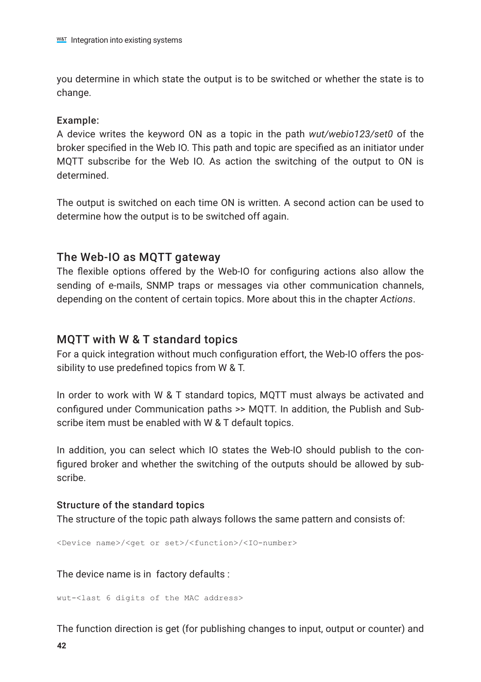you determine in which state the output is to be switched or whether the state is to change.

#### Example:

A device writes the keyword ON as a topic in the path *wut/webio123/set0* of the broker specified in the Web IO. This path and topic are specified as an initiator under MQTT subscribe for the Web IO. As action the switching of the output to ON is determined.

The output is switched on each time ON is written. A second action can be used to determine how the output is to be switched off again.

### The Web-IO as MQTT gateway

The flexible options offered by the Web-IO for configuring actions also allow the sending of e-mails, SNMP traps or messages via other communication channels, depending on the content of certain topics. More about this in the chapter *Actions*.

### MQTT with W & T standard topics

For a quick integration without much configuration effort, the Web-IO offers the possibility to use predefined topics from W & T.

In order to work with W & T standard topics, MQTT must always be activated and configured under Communication paths >> MQTT. In addition, the Publish and Subscribe item must be enabled with W & T default topics.

In addition, you can select which IO states the Web-IO should publish to the configured broker and whether the switching of the outputs should be allowed by subscribe.

#### Structure of the standard topics

The structure of the topic path always follows the same pattern and consists of:

<Device name>/<get or set>/<function>/<IO-number>

The device name is in factory defaults :

wut-<last 6 digits of the MAC address>

The function direction is get (for publishing changes to input, output or counter) and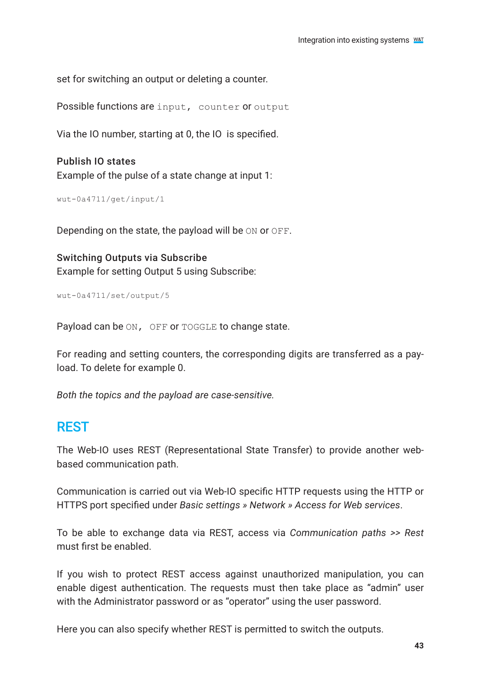set for switching an output or deleting a counter.

Possible functions are input, counter or output

Via the IO number, starting at 0, the IO is specified.

Publish IO states Example of the pulse of a state change at input 1:

```
wut-0a4711/get/input/1
```
Depending on the state, the payload will be ON or OFF.

Switching Outputs via Subscribe Example for setting Output 5 using Subscribe:

```
wut-0a4711/set/output/5
```
Payload can be ON, OFF or TOGGLE to change state.

For reading and setting counters, the corresponding digits are transferred as a payload. To delete for example 0.

*Both the topics and the payload are case-sensitive.*

# REST

The Web-IO uses REST (Representational State Transfer) to provide another webbased communication path.

Communication is carried out via Web-IO specific HTTP requests using the HTTP or HTTPS port specified under *Basic settings » Network » Access for Web services*.

To be able to exchange data via REST, access via *Communication paths >> Rest* must first be enabled.

If you wish to protect REST access against unauthorized manipulation, you can enable digest authentication. The requests must then take place as "admin" user with the Administrator password or as "operator" using the user password.

Here you can also specify whether REST is permitted to switch the outputs.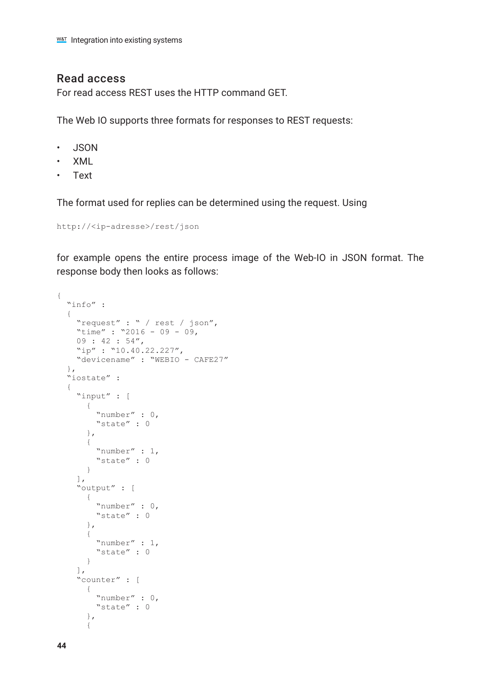#### Read access

For read access REST uses the HTTP command GET.

The Web IO supports three formats for responses to REST requests:

- JSON
- XML
- Text

The format used for replies can be determined using the request. Using

http://<ip-adresse>/rest/json

for example opens the entire process image of the Web-IO in JSON format. The response body then looks as follows:

```
{
  "info" :
   {
 "request" : " / rest / json",
"time" : "2016 - 09 - 09,
   09 : 42 : 54", "ip" : "10.40.22.227",
     "devicename" : "WEBIO - CAFE27"
   },
   "iostate" :
   {
     "input" : [
      \left\{ \right. "number" : 0,
         "state" : 0
       },
       {
         "number" : 1,
         "state" : 0
       }
     ],
     "output" : [
       {
         "number" : 0,
         "state" : 0
       },
       {
         "number" : 1,
         "state" : 0
       }
     ],
     "counter" : [
       {
         "number" : 0,
         "state" : 0
       },
       {
```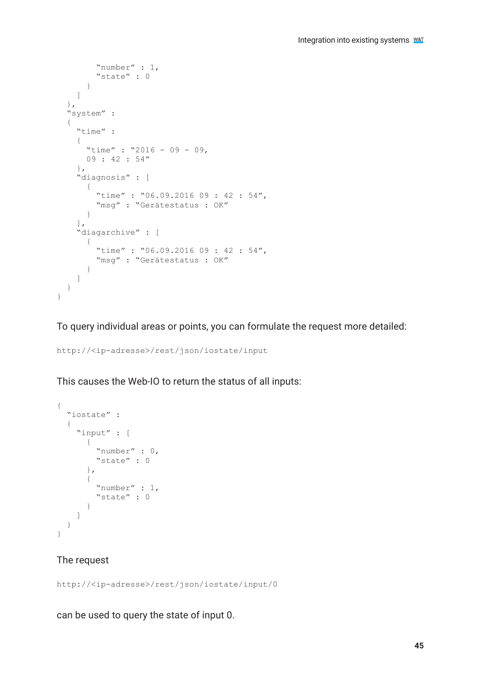```
 "number" : 1,
       "state" : 0
 }
     ]
   },
   "system" :
   {
     "time" :
     {
      "time" : "2016 - 09 - 09,
       09 : 42 : 54"
\rightarrow "diagnosis" : [
\sim \sim \sim "time" : "06.09.2016 09 : 42 : 54",
      "msg" : "Gerätestatus : OK"
 }
\frac{1}{2} "diagarchive" : [
\sim \sim \sim \sim \sim \sim \sim \sim"time" : "06.09.2016 09 : 42 : 54",
        "msq" : "Gerätestatus : OK"
       }
    ]
  }
}
```
To query individual areas or points, you can formulate the request more detailed:

http://<ip-adresse>/rest/json/iostate/input

This causes the Web-IO to return the status of all inputs:

```
{
   "iostate" :
   {
     "input" : [
        {
          "number" : 0,
          "state" : 0
        },
        {
          "number" : 1,
          "state" : 0
        }
     ]
   }
}
```
#### The request

http://<ip-adresse>/rest/json/iostate/input/0

can be used to query the state of input 0.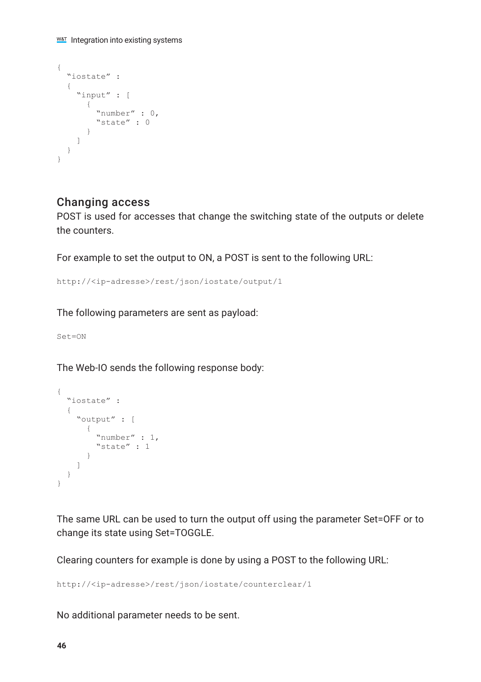```
{
  "iostate" :
  {
    "input" : [
      {
 "number" : 0,
 "state" : 0
 }
   ]
  }
}
```
## Changing access

POST is used for accesses that change the switching state of the outputs or delete the counters.

For example to set the output to ON, a POST is sent to the following URL:

http://<ip-adresse>/rest/json/iostate/output/1

The following parameters are sent as payload:

Set=ON

The Web-IO sends the following response body:

```
{
   "iostate" :
   {
     "output" : [
       {
          "number" : 1,
          "state" : 1
       }
    ]
  }
}
```
The same URL can be used to turn the output off using the parameter Set=OFF or to change its state using Set=TOGGLE.

Clearing counters for example is done by using a POST to the following URL:

http://<ip-adresse>/rest/json/iostate/counterclear/1

No additional parameter needs to be sent.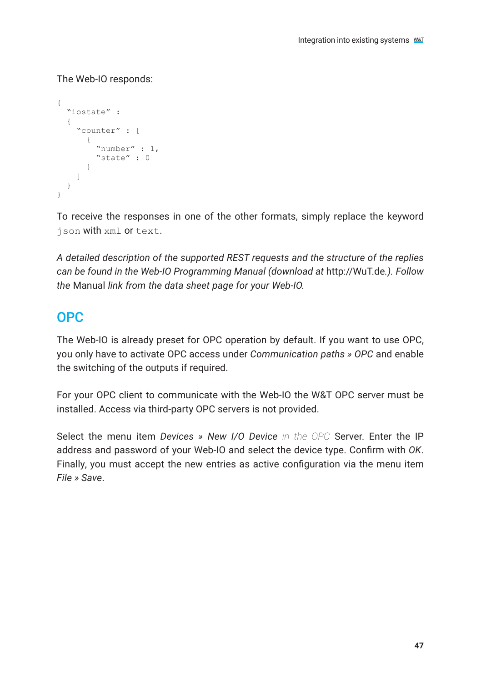#### The Web-IO responds:

```
{
  "iostate" :
   {
     "counter" : [
       {
          "number" : 1,
      "state" : 0 }
    ]
  }
\mathfrak{r}
```
To receive the responses in one of the other formats, simply replace the keyword json with xml or text.

*A detailed description of the supported REST requests and the structure of the replies can be found in the Web-IO Programming Manual (download at* http://WuT.de*.). Follow the* Manual *link from the data sheet page for your Web-IO.*

# OPC

The Web-IO is already preset for OPC operation by default. If you want to use OPC, you only have to activate OPC access under *Communication paths » OPC* and enable the switching of the outputs if required.

For your OPC client to communicate with the Web-IO the W&T OPC server must be installed. Access via third-party OPC servers is not provided.

Select the menu item *Devices » New I/O Device in the OPC* Server. Enter the IP address and password of your Web-IO and select the device type. Confirm with *OK*. Finally, you must accept the new entries as active configuration via the menu item *File » Save*.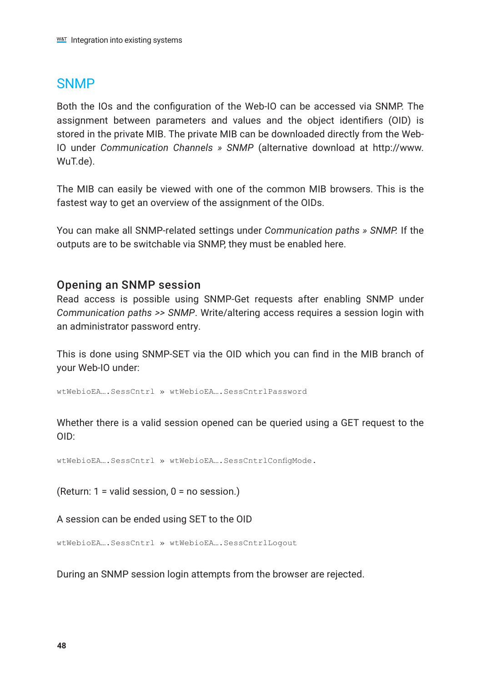# **SNMP**

Both the IOs and the configuration of the Web-IO can be accessed via SNMP. The assignment between parameters and values and the object identifiers (OID) is stored in the private MIB. The private MIB can be downloaded directly from the Web-IO under *Communication Channels » SNMP* (alternative download at http://www. WuT.de).

The MIB can easily be viewed with one of the common MIB browsers. This is the fastest way to get an overview of the assignment of the OIDs.

You can make all SNMP-related settings under *Communication paths » SNMP.* If the outputs are to be switchable via SNMP, they must be enabled here.

#### Opening an SNMP session

Read access is possible using SNMP-Get requests after enabling SNMP under *Communication paths >> SNMP*. Write/altering access requires a session login with an administrator password entry.

This is done using SNMP-SET via the OID which you can find in the MIB branch of your Web-IO under:

wtWebioEA….SessCntrl » wtWebioEA….SessCntrlPassword

Whether there is a valid session opened can be queried using a GET request to the OID:

wtWebioEA….SessCntrl » wtWebioEA….SessCntrlConfigMode.

(Return: 1 = valid session, 0 = no session.)

A session can be ended using SET to the OID

wtWebioEA….SessCntrl » wtWebioEA….SessCntrlLogout

During an SNMP session login attempts from the browser are rejected.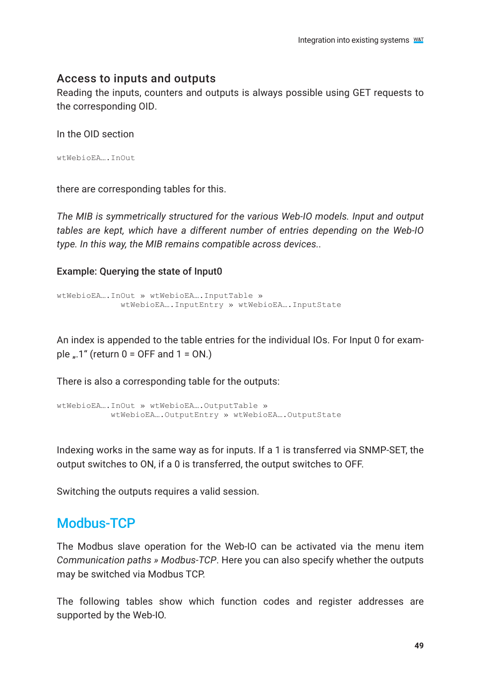#### Access to inputs and outputs

Reading the inputs, counters and outputs is always possible using GET requests to the corresponding OID.

In the OID section

```
wtWebioEA….InOut
```
there are corresponding tables for this.

*The MIB is symmetrically structured for the various Web-IO models. Input and output tables are kept, which have a different number of entries depending on the Web-IO type. In this way, the MIB remains compatible across devices..*

Example: Querying the state of Input0

```
wtWebioEA….InOut » wtWebioEA….InputTable » 
              wtWebioEA….InputEntry » wtWebioEA….InputState
```
An index is appended to the table entries for the individual IOs. For Input 0 for example  $\ldots$ 1" (return 0 = OFF and 1 = ON.)

There is also a corresponding table for the outputs:

```
wtWebioEA….InOut » wtWebioEA….OutputTable » 
           wtWebioEA.... OutputEntry » wtWebioEA.... OutputState
```
Indexing works in the same way as for inputs. If a 1 is transferred via SNMP-SET, the output switches to ON, if a 0 is transferred, the output switches to OFF.

Switching the outputs requires a valid session.

# Modbus-TCP

The Modbus slave operation for the Web-IO can be activated via the menu item *Communication paths » Modbus-TCP*. Here you can also specify whether the outputs may be switched via Modbus TCP.

The following tables show which function codes and register addresses are supported by the Web-IO.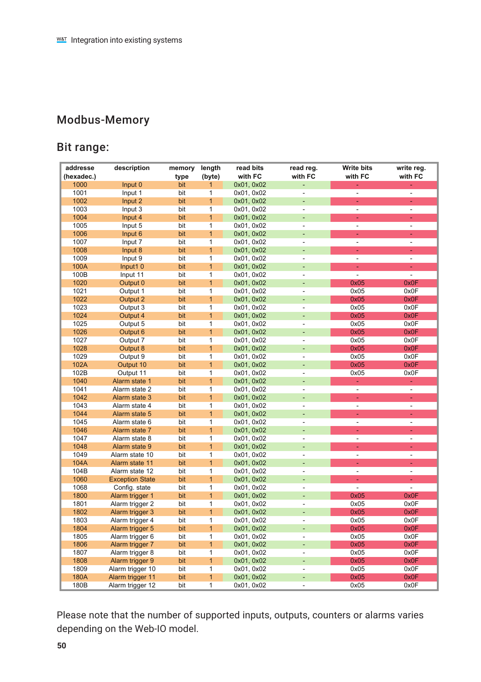# Modbus-Memory

# Bit range:

| addresse<br>(hexadec.) | description            | memory<br>type | length<br>(byte) | read bits<br>with FC     | read reg.<br>with FC     | <b>Write bits</b><br>with FC | write reg.<br>with FC |
|------------------------|------------------------|----------------|------------------|--------------------------|--------------------------|------------------------------|-----------------------|
| 1000                   | Input 0                | bit            | $\mathbf{1}$     | 0x01, 0x02               |                          |                              | ٠                     |
| 1001                   | Input 1                | bit            | 1                | 0x01, 0x02               | ×.                       | $\overline{\phantom{a}}$     | ä,                    |
| 1002                   | Input 2                | bit            | $\mathbf{1}$     | 0x01, 0x02               |                          | ä,                           | ÷                     |
| 1003                   | Input 3                | bit            | 1                | 0x01, 0x02               | ÷,                       | $\overline{\phantom{a}}$     | ÷,                    |
| 1004                   | Input 4                | bit            | $\overline{1}$   | 0x01, 0x02               | ÷                        | ÷                            | ÷                     |
| 1005                   | Input 5                | bit            | 1                |                          | $\overline{\phantom{m}}$ | ÷                            | ÷,                    |
| 1006                   | Input 6                | bit            | $\mathbf{1}$     | 0x01, 0x02<br>0x01, 0x02 |                          | ä,                           | ä,                    |
|                        |                        |                | 1                |                          | ×.                       | ä,                           | ä,                    |
| 1007                   | Input 7                | bit            | $\mathbf{1}$     | 0x01, 0x02               |                          | ä,                           | ä,                    |
| 1008                   | Input 8                | bit            | 1                | 0x01, 0x02               | ä,                       | ä,                           | ÷,                    |
| 1009                   | Input 9                | bit            | $\overline{1}$   | 0x01, 0x02               |                          |                              |                       |
| 100A                   | Input1 <sub>0</sub>    | bit            |                  | 0x01, 0x02               | ÷                        | ÷                            | ÷                     |
| 100B                   | Input 11               | bit            | 1                | 0x01, 0x02               | $\overline{\phantom{m}}$ | $\overline{\phantom{a}}$     | ÷,                    |
| 1020                   | Output 0               | bit            | $\mathbf{1}$     | 0x01, 0x02               |                          | 0x05                         | 0x0F                  |
| 1021                   | Output 1               | bit            | 1                | 0x01, 0x02               | ٠                        | 0x05                         | 0x0F                  |
| 1022                   | Output 2               | bit            | $\mathbf{1}$     | 0x01, 0x02               |                          | 0x05                         | 0x0F                  |
| 1023                   | Output 3               | bit            | 1                | 0x01, 0x02               | ä,                       | 0x05                         | 0x0F                  |
| 1024                   | Output 4               | bit            | $\overline{1}$   | 0x01, 0x02               | ä,                       | 0x05                         | 0x0F                  |
| 1025                   | Output 5               | bit            | 1                | 0x01, 0x02               | ä,                       | 0x05                         | 0x0F                  |
| 1026                   | Output 6               | bit            | $\overline{1}$   | 0x01, 0x02               | ٠                        | 0x05                         | 0x0F                  |
| 1027                   | Output 7               | bit            | 1                | 0x01, 0x02               | ä,                       | 0x05                         | 0x0F                  |
| 1028                   | Output 8               | bit            | 1                | 0x01, 0x02               |                          | 0x05                         | 0x0F                  |
| 1029                   | Output 9               | bit            | 1                | 0x01, 0x02               | $\overline{\phantom{m}}$ | 0x05                         | 0x0F                  |
| 102A                   | Output 10              | bit            | $\mathbf{1}$     | 0x01, 0x02               |                          | 0x05                         | 0x0F                  |
| 102B                   | Output 11              | bit            | 1                | 0x01, 0x02               | ٠                        | 0x05                         | 0x0F                  |
| 1040                   | Alarm state 1          | bit            | $\overline{1}$   | 0x01, 0x02               | ÷                        | ä,                           | ä,                    |
| 1041                   | Alarm state 2          | bit            | 1                | 0x01, 0x02               | ×.                       | $\overline{\phantom{a}}$     | ×,                    |
| 1042                   | Alarm state 3          | bit            | $\overline{1}$   | 0x01, 0x02               |                          | ÷.                           | ÷                     |
| 1043                   | Alarm state 4          | bit            | 1                | 0x01, 0x02               | ×,                       | ÷.                           | ÷,                    |
| 1044                   | Alarm state 5          | bit            | $\mathbf{1}$     | 0x01, 0x02               |                          | ä,                           | ÷,                    |
| 1045                   | Alarm state 6          | bit            | 1                | 0x01, 0x02               | $\overline{\phantom{m}}$ | ÷.                           | ÷,                    |
| 1046                   | Alarm state 7          | bit            | $\overline{1}$   | 0x01, 0x02               |                          | н                            | ÷,                    |
| 1047                   | Alarm state 8          | bit            | 1                | 0x01, 0x02               | ä,                       | ä,                           | ÷,                    |
| 1048                   | Alarm state 9          | bit            | $\overline{1}$   | 0x01, 0x02               | ÷                        | ä,                           | ä,                    |
| 1049                   | Alarm state 10         | bit            | 1                | 0x01, 0x02               | $\overline{\phantom{m}}$ | ÷.                           | ÷,                    |
| 104A                   | Alarm state 11         | bit            | $\mathbf{1}$     | 0x01, 0x02               |                          | ä,                           | ä,                    |
| 104B                   | Alarm state 12         | bit            | 1                | 0x01, 0x02               | ×.                       | ä,                           | ä,                    |
| 1060                   | <b>Exception State</b> | bit            | $\mathbf{1}$     | 0x01, 0x02               |                          | ä,                           | ä,                    |
| 1068                   | Config. state          | bit            | 1                | 0x01, 0x02               | ä,                       | $\sim$                       | ÷,                    |
| 1800                   | Alarm trigger 1        | bit            | $\mathbf{1}$     | 0x01, 0x02               | ÷                        | 0x05                         | 0x0F                  |
| 1801                   | Alarm trigger 2        | bit            | 1                | 0x01, 0x02               | $\overline{\phantom{a}}$ | 0x05                         | 0x0F                  |
| 1802                   | Alarm trigger 3        | bit            | $\mathbf{1}$     | 0x01, 0x02               |                          | 0x05                         | 0x0F                  |
| 1803                   | Alarm trigger 4        | bit            | 1                | 0x01, 0x02               | ٠                        | 0x05                         | 0x0F                  |
| 1804                   | Alarm trigger 5        | bit            | $\mathbf{1}$     | 0x01, 0x02               |                          | 0x05                         | 0x0F                  |
| 1805                   | Alarm trigger 6        | bit            | 1                | 0x01, 0x02               | ÷                        | 0x05                         | 0x0F                  |
| 1806                   | Alarm trigger 7        | bit            | $\mathbf{1}$     | 0x01, 0x02               |                          | 0x05                         | 0x0F                  |
| 1807                   | Alarm trigger 8        | bit            | 1                | 0x01, 0x02               | ÷,                       | 0x05                         | 0x0F                  |
| 1808                   | Alarm trigger 9        | bit            | $\mathbf{1}$     | 0x01, 0x02               | ٠                        | 0x05                         | 0x0F                  |
| 1809                   | Alarm trigger 10       | bit            | 1                | 0x01, 0x02               | $\overline{\phantom{m}}$ | 0x05                         | 0x0F                  |
| 180A                   | Alarm trigger 11       | bit            | $\mathbf{1}$     | 0x01, 0x02               |                          | 0x05                         | 0x0F                  |
| 180B                   | Alarm trigger 12       | bit            | 1                | 0x01, 0x02               | ä,                       | 0x05                         | 0x0F                  |

Please note that the number of supported inputs, outputs, counters or alarms varies depending on the Web-IO model.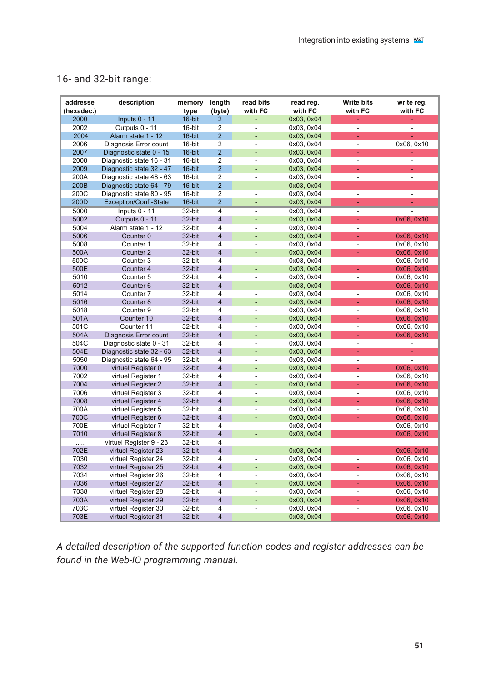## 16- and 32-bit range:

| addresse<br>(hexadec.) | description              | memory<br>type | length<br>(byte)        | read bits<br>with FC | read reg.<br>with FC | <b>Write bits</b><br>with FC | write reg.<br>with FC    |
|------------------------|--------------------------|----------------|-------------------------|----------------------|----------------------|------------------------------|--------------------------|
| 2000                   | Inputs 0 - 11            | 16-bit         | $\overline{2}$          | ÷,                   | 0x03, 0x04           | ÷,                           |                          |
| 2002                   | Outputs 0 - 11           | 16-bit         | 2                       | $\frac{1}{2}$        | 0x03, 0x04           | ÷                            |                          |
| 2004                   | Alarm state 1 - 12       | 16-bit         | $\overline{2}$          |                      | 0x03, 0x04           | ÷.                           |                          |
| 2006                   | Diagnosis Error count    | 16-bit         | $\overline{2}$          | ÷,                   | 0x03, 0x04           | ä,                           | 0x06, 0x10               |
| 2007                   | Diagnostic state 0 - 15  | 16-bit         | $\overline{2}$          |                      | 0x03, 0x04           | ÷.                           |                          |
| 2008                   | Diagnostic state 16 - 31 | 16-bit         | $\overline{2}$          | ÷,                   | 0x03, 0x04           | ä,                           | ä,                       |
| 2009                   | Diagnostic state 32 - 47 | 16-bit         | $\overline{2}$          | ٠                    | 0x03, 0x04           | ÷.                           | ÷                        |
| 200A                   | Diagnostic state 48 - 63 | 16-bit         | $\overline{2}$          | ÷,                   | 0x03, 0x04           | $\overline{\phantom{a}}$     | ÷,                       |
| 200B                   | Diagnostic state 64 - 79 | 16-bit         | $\overline{2}$          |                      | 0x03, 0x04           | ä,                           | ä,                       |
| 200C                   | Diagnostic state 80 - 95 | 16-bit         | $\overline{2}$          | ÷,                   | 0x03, 0x04           | $\overline{\phantom{a}}$     | ÷,                       |
| 200D                   | Exception/Conf.-State    | 16-bit         | $\overline{2}$          | ÷,                   | 0x03, 0x04           | ä,                           |                          |
| 5000                   | Inputs 0 - 11            | 32-bit         | $\overline{4}$          | ٠                    | 0x03, 0x04           | $\overline{\phantom{a}}$     | ٠                        |
| 5002                   | Outputs 0 - 11           | 32-bit         | $\overline{4}$          |                      | 0x03, 0x04           | ÷,                           | 0x06, 0x10               |
| 5004                   | Alarm state 1 - 12       | 32-bit         | 4                       | ÷,                   | 0x03, 0x04           | $\overline{\phantom{a}}$     |                          |
| 5006                   | Counter <sub>0</sub>     | 32-bit         | 4                       |                      | 0x03, 0x04           | ä,                           | 0x06, 0x10               |
| 5008                   | Counter 1                | 32-bit         | 4                       | ä,                   | 0x03, 0x04           | ٠                            | 0x06, 0x10               |
| 500A                   | Counter 2                | 32-bit         | $\overline{4}$          |                      | 0x03, 0x04           | ÷.                           | 0x06, 0x10               |
| 500C                   | Counter <sub>3</sub>     | 32-bit         | 4                       | ä,                   | 0x03.0x04            | $\overline{\phantom{a}}$     | 0x06, 0x10               |
| 500E                   | Counter 4                | 32-bit         | 4                       |                      | 0x03, 0x04           | ÷                            | 0x06, 0x10               |
| 5010                   | Counter 5                | 32-bit         | 4                       | ÷,                   | 0x03, 0x04           | $\overline{\phantom{a}}$     | 0x06, 0x10               |
| 5012                   | Counter <sub>6</sub>     | 32-bit         | 4                       |                      | 0x03, 0x04           | ÷                            | 0x06, 0x10               |
| 5014                   | Counter <sub>7</sub>     | 32-bit         | 4                       | ٠                    | 0x03, 0x04           | ÷                            | 0x06, 0x10               |
| 5016                   | Counter <sub>8</sub>     | 32-bit         | $\overline{4}$          | ٠                    | 0x03, 0x04           | ä,                           | 0x06, 0x10               |
| 5018                   | Counter 9                | 32-bit         | 4                       | ÷.                   | 0x03, 0x04           | $\overline{\phantom{a}}$     | 0x06, 0x10               |
| 501A                   | Counter 10               | 32-bit         | 4                       |                      | 0x03, 0x04           | ä,                           | 0x06, 0x10               |
| 501C                   | Counter 11               | 32-bit         | 4                       | ÷,                   | 0x03, 0x04           | $\overline{\phantom{a}}$     | 0x06, 0x10               |
| 504A                   | Diagnosis Error count    | 32-bit         | 4                       |                      | 0x03, 0x04           | ä,                           | 0x06, 0x10               |
| 504C                   | Diagnostic state 0 - 31  | 32-bit         | 4                       | ä,                   | 0x03, 0x04           | $\overline{\phantom{a}}$     | $\blacksquare$           |
| 504E                   | Diagnostic state 32 - 63 | 32-bit         | $\overline{4}$          | ÷,                   | 0x03, 0x04           | ÷                            | ÷                        |
| 5050                   | Diagnostic state 64 - 95 | 32-bit         | 4                       | ÷.                   | 0x03, 0x04           | ÷                            | $\overline{\phantom{m}}$ |
| 7000                   | virtuel Register 0       | 32-bit         | $\overline{\mathbf{4}}$ |                      | 0x03, 0x04           | ÷,                           | 0x06, 0x10               |
| 7002                   | virtuel Register 1       | 32-bit         | 4                       | $\frac{1}{2}$        | 0x03, 0x04           | ÷                            | 0x06, 0x10               |
| 7004                   | virtuel Register 2       | 32-bit         | $\overline{4}$          |                      | 0x03, 0x04           | ÷,                           | 0x06, 0x10               |
| 7006                   | virtuel Register 3       | 32-bit         | 4                       | ä,                   | 0x03, 0x04           | $\overline{\phantom{a}}$     | 0x06, 0x10               |
| 7008                   | virtuel Register 4       | 32-bit         | 4                       |                      | 0x03, 0x04           | ä,                           | 0x06, 0x10               |
| 700A                   | virtuel Register 5       | 32-bit         | 4                       | ÷.                   | 0x03, 0x04           | ×.                           | 0x06, 0x10               |
| 700C                   | virtuel Register 6       | 32-bit         | $\overline{4}$          |                      | 0x03, 0x04           | ÷.                           | 0x06, 0x10               |
| 700E                   | virtuel Register 7       | 32-bit         | 4                       | ä,                   | 0x03, 0x04           | ä,                           | 0x06, 0x10               |
| 7010                   | virtuel Register 8       | 32-bit         | 4                       |                      | 0x03, 0x04           |                              | 0x06, 0x10               |
| .                      | virtuel Register 9 - 23  | 32-bit         | 4                       |                      |                      |                              |                          |
| 702E                   | virtuel Register 23      | 32-bit         | $\overline{4}$          | ÷,                   | 0x03, 0x04           | ä,                           | 0x06, 0x10               |
| 7030                   | virtuel Register 24      | 32-bit         | 4                       | ä,                   | 0x03, 0x04           | ÷                            | 0x06, 0x10               |
| 7032                   | virtuel Register 25      | 32-bit         | 4                       |                      | 0x03, 0x04           | ä,                           | 0x06, 0x10               |
| 7034                   | virtuel Register 26      | 32-bit         | 4                       | ÷,                   | 0x03, 0x04           | ÷,                           | 0x06, 0x10               |
| 7036                   | virtuel Register 27      | 32-bit         | 4                       |                      | 0x03, 0x04           | ä,                           | 0x06, 0x10               |
| 7038                   | virtuel Register 28      | 32-bit         | 4                       | ä,                   | 0x03, 0x04           | ÷,                           | 0x06, 0x10               |
| 703A                   | virtuel Register 29      | 32-bit         | $\overline{4}$          | ٠                    | 0x03, 0x04           | ÷                            | 0x06, 0x10               |
| 703C                   | virtuel Register 30      | 32-bit         | $\overline{\mathbf{4}}$ | ÷,                   | 0x03, 0x04           | ä,                           | 0x06, 0x10               |
| 703E                   | virtuel Register 31      | 32-bit         | 4                       |                      | 0x03, 0x04           |                              | 0x06, 0x10               |

*A detailed description of the supported function codes and register addresses can be found in the Web-IO programming manual.*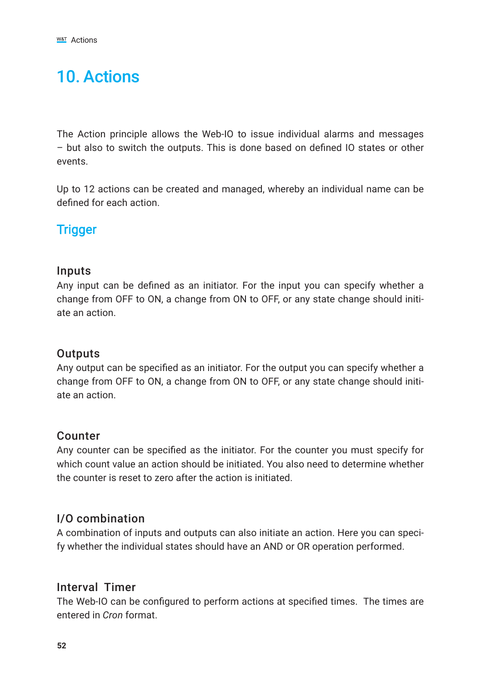# 10. Actions

The Action principle allows the Web-IO to issue individual alarms and messages – but also to switch the outputs. This is done based on defined IO states or other events.

Up to 12 actions can be created and managed, whereby an individual name can be defined for each action.

# **Trigger**

#### Inputs

Any input can be defined as an initiator. For the input you can specify whether a change from OFF to ON, a change from ON to OFF, or any state change should initiate an action.

## **Outputs**

Any output can be specified as an initiator. For the output you can specify whether a change from OFF to ON, a change from ON to OFF, or any state change should initiate an action.

## Counter

Any counter can be specified as the initiator. For the counter you must specify for which count value an action should be initiated. You also need to determine whether the counter is reset to zero after the action is initiated.

## I/O combination

A combination of inputs and outputs can also initiate an action. Here you can specify whether the individual states should have an AND or OR operation performed.

## Interval Timer

The Web-IO can be configured to perform actions at specified times. The times are entered in *Cron* format.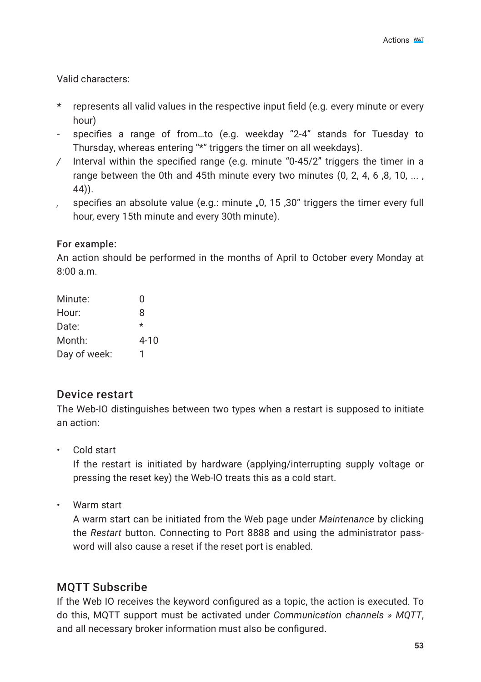Valid characters:

- *\** represents all valid values in the respective input field (e.g. every minute or every hour)
- specifies a range of from…to (e.g. weekday "2-4" stands for Tuesday to Thursday, whereas entering "\*" triggers the timer on all weekdays).
- */* Interval within the specified range (e.g. minute "0-45/2" triggers the timer in a range between the 0th and 45th minute every two minutes (0, 2, 4, 6, 8, 10, ..., 44)).
- *,* specifies an absolute value (e.g.: minute "0, 15 ,30" triggers the timer every full hour, every 15th minute and every 30th minute).

#### For example:

An action should be performed in the months of April to October every Monday at  $8:00 \text{ s}$ .m.

| Minute:      | U        |
|--------------|----------|
| Hour:        | 8        |
| Date:        | $\star$  |
| Month:       | $4 - 10$ |
| Day of week: |          |

## Device restart

The Web-IO distinguishes between two types when a restart is supposed to initiate an action:

• Cold start

If the restart is initiated by hardware (applying/interrupting supply voltage or pressing the reset key) the Web-IO treats this as a cold start.

• Warm start

A warm start can be initiated from the Web page under *Maintenance* by clicking the *Restart* button. Connecting to Port 8888 and using the administrator password will also cause a reset if the reset port is enabled.

## MQTT Subscribe

If the Web IO receives the keyword configured as a topic, the action is executed. To do this, MQTT support must be activated under *Communication channels » MQTT*, and all necessary broker information must also be configured.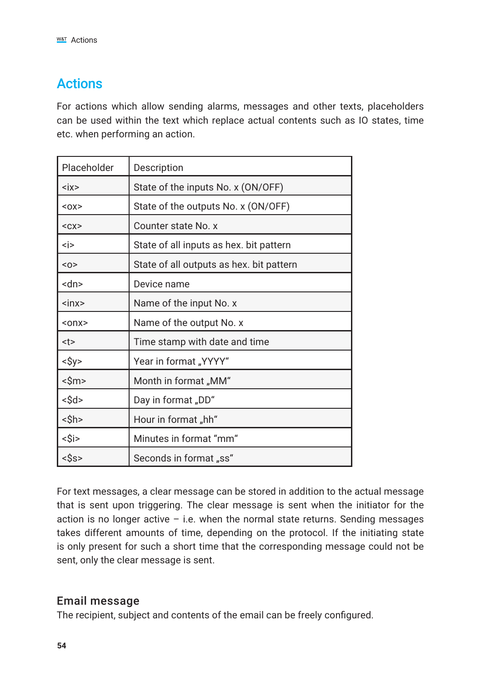# Actions

For actions which allow sending alarms, messages and other texts, placeholders can be used within the text which replace actual contents such as IO states, time etc. when performing an action.

| Placeholder            | Description                              |
|------------------------|------------------------------------------|
| $\langle$ ix $\rangle$ | State of the inputs No. x (ON/OFF)       |
| $0X$                   | State of the outputs No. x (ON/OFF)      |
| $<$ C $X$              | Counter state No. x                      |
| <i></i>                | State of all inputs as hex. bit pattern  |
| $O$                    | State of all outputs as hex. bit pattern |
| <dn></dn>              | Device name                              |
| $\sin x$               | Name of the input No. x                  |
| $onx$                  | Name of the output No. x                 |
| <t></t>                | Time stamp with date and time            |
| $<$ \$y>               | Year in format "YYYY"                    |
| <\$m>                  | Month in format "MM"                     |
| <\$d>                  | Day in format "DD"                       |
| <\$h>                  | Hour in format "hh"                      |
| <\$i>                  | Minutes in format "mm"                   |
| <Ŝs>                   | Seconds in format "ss"                   |

For text messages, a clear message can be stored in addition to the actual message that is sent upon triggering. The clear message is sent when the initiator for the action is no longer active  $-$  i.e. when the normal state returns. Sending messages takes different amounts of time, depending on the protocol. If the initiating state is only present for such a short time that the corresponding message could not be sent, only the clear message is sent.

## Email message

The recipient, subject and contents of the email can be freely configured.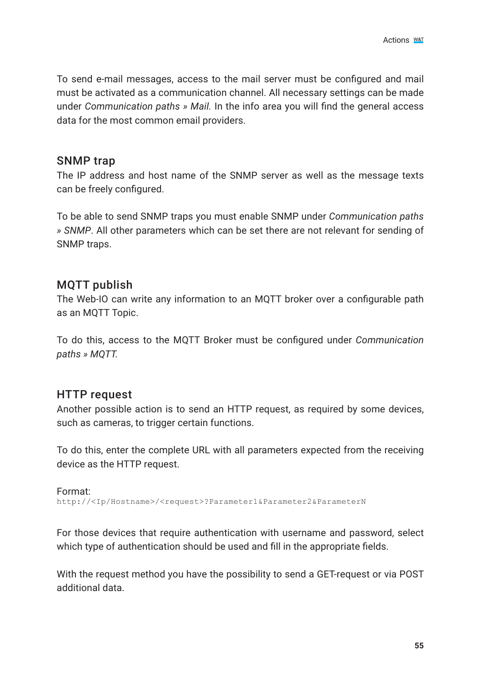To send e-mail messages, access to the mail server must be configured and mail must be activated as a communication channel. All necessary settings can be made under *Communication paths » Mail.* In the info area you will find the general access data for the most common email providers.

#### SNMP trap

The IP address and host name of the SNMP server as well as the message texts can be freely configured.

To be able to send SNMP traps you must enable SNMP under *Communication paths » SNMP*. All other parameters which can be set there are not relevant for sending of SNMP traps.

#### MQTT publish

The Web-IO can write any information to an MQTT broker over a configurable path as an MQTT Topic.

To do this, access to the MQTT Broker must be configured under *Communication paths » MQTT.*

#### HTTP request

Another possible action is to send an HTTP request, as required by some devices, such as cameras, to trigger certain functions.

To do this, enter the complete URL with all parameters expected from the receiving device as the HTTP request.

Format: http://<Ip/Hostname>/<request>?Parameter1&Parameter2&ParameterN

For those devices that require authentication with username and password, select which type of authentication should be used and fill in the appropriate fields.

With the request method you have the possibility to send a GET-request or via POST additional data.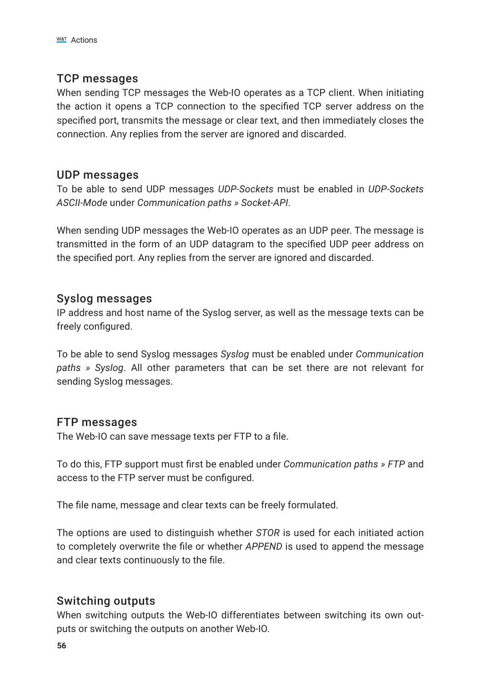#### TCP messages

When sending TCP messages the Web-IO operates as a TCP client. When initiating the action it opens a TCP connection to the specified TCP server address on the specified port, transmits the message or clear text, and then immediately closes the connection. Any replies from the server are ignored and discarded.

#### UDP messages

To be able to send UDP messages *UDP-Sockets* must be enabled in *UDP-Sockets ASCII-Mode* under *Communication paths » Socket-API*.

When sending UDP messages the Web-IO operates as an UDP peer. The message is transmitted in the form of an UDP datagram to the specified UDP peer address on the specified port. Any replies from the server are ignored and discarded.

#### Syslog messages

IP address and host name of the Syslog server, as well as the message texts can be freely configured.

To be able to send Syslog messages *Syslog* must be enabled under *Communication paths » Syslog*. All other parameters that can be set there are not relevant for sending Syslog messages.

#### FTP messages

The Web-IO can save message texts per FTP to a file.

To do this, FTP support must first be enabled under *Communication paths » FTP* and access to the FTP server must be configured.

The file name, message and clear texts can be freely formulated.

The options are used to distinguish whether *STOR* is used for each initiated action to completely overwrite the file or whether *APPEND* is used to append the message and clear texts continuously to the file.

#### Switching outputs

When switching outputs the Web-IO differentiates between switching its own outputs or switching the outputs on another Web-IO.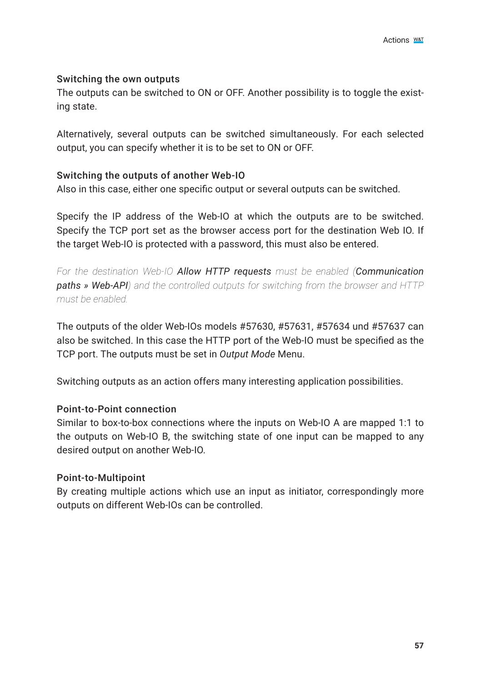#### Switching the own outputs

The outputs can be switched to ON or OFF. Another possibility is to toggle the existing state.

Alternatively, several outputs can be switched simultaneously. For each selected output, you can specify whether it is to be set to ON or OFF.

#### Switching the outputs of another Web-IO

Also in this case, either one specific output or several outputs can be switched.

Specify the IP address of the Web-IO at which the outputs are to be switched. Specify the TCP port set as the browser access port for the destination Web IO. If the target Web-IO is protected with a password, this must also be entered.

*For the destination Web-IO Allow HTTP requests must be enabled (Communication paths » Web-API) and the controlled outputs for switching from the browser and HTTP must be enabled.*

The outputs of the older Web-IOs models #57630, #57631, #57634 und #57637 can also be switched. In this case the HTTP port of the Web-IO must be specified as the TCP port. The outputs must be set in *Output Mode* Menu.

Switching outputs as an action offers many interesting application possibilities.

#### Point-to-Point connection

Similar to box-to-box connections where the inputs on Web-IO A are mapped 1:1 to the outputs on Web-IO B, the switching state of one input can be mapped to any desired output on another Web-IO.

#### Point-to-Multipoint

By creating multiple actions which use an input as initiator, correspondingly more outputs on different Web-IOs can be controlled.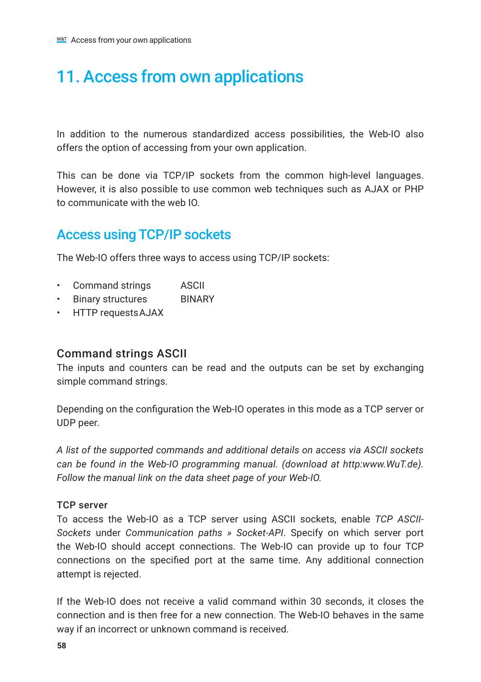# 11. Access from own applications

In addition to the numerous standardized access possibilities, the Web-IO also offers the option of accessing from your own application.

This can be done via TCP/IP sockets from the common high-level languages. However, it is also possible to use common web techniques such as AJAX or PHP to communicate with the web IO.

# Access using TCP/IP sockets

The Web-IO offers three ways to access using TCP/IP sockets:

- Command strings ASCII
- Binary structures BINARY
- HTTP requestsAJAX

#### Command strings ASCII

The inputs and counters can be read and the outputs can be set by exchanging simple command strings.

Depending on the configuration the Web-IO operates in this mode as a TCP server or UDP peer.

*A list of the supported commands and additional details on access via ASCII sockets can be found in the Web-IO programming manual. (download at http:www.WuT.de). Follow the manual link on the data sheet page of your Web-IO.*

#### TCP server

To access the Web-IO as a TCP server using ASCII sockets, enable *TCP ASCII-Sockets* under *Communication paths » Socket-API*. Specify on which server port the Web-IO should accept connections. The Web-IO can provide up to four TCP connections on the specified port at the same time. Any additional connection attempt is rejected.

If the Web-IO does not receive a valid command within 30 seconds, it closes the connection and is then free for a new connection. The Web-IO behaves in the same way if an incorrect or unknown command is received.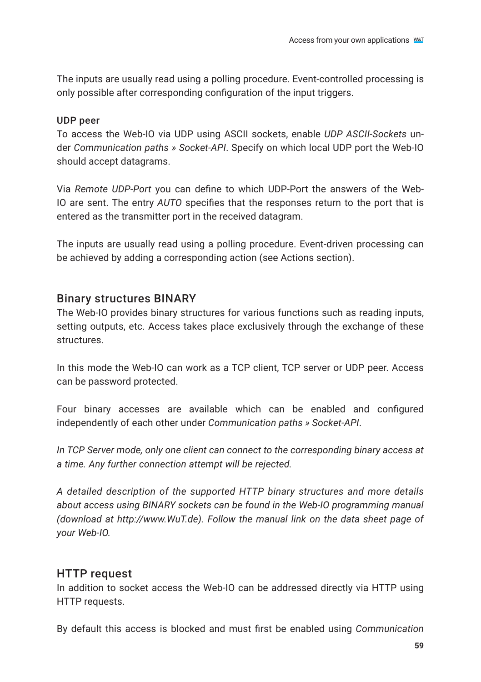The inputs are usually read using a polling procedure. Event-controlled processing is only possible after corresponding configuration of the input triggers.

#### UDP peer

To access the Web-IO via UDP using ASCII sockets, enable *UDP ASCII-Sockets* under *Communication paths » Socket-API*. Specify on which local UDP port the Web-IO should accept datagrams.

Via *Remote UDP-Port* you can define to which UDP-Port the answers of the Web-IO are sent. The entry *AUTO* specifies that the responses return to the port that is entered as the transmitter port in the received datagram.

The inputs are usually read using a polling procedure. Event-driven processing can be achieved by adding a corresponding action (see Actions section).

### Binary structures BINARY

The Web-IO provides binary structures for various functions such as reading inputs, setting outputs, etc. Access takes place exclusively through the exchange of these structures.

In this mode the Web-IO can work as a TCP client, TCP server or UDP peer. Access can be password protected.

Four binary accesses are available which can be enabled and configured independently of each other under *Communication paths » Socket-API*.

*In TCP Server mode, only one client can connect to the corresponding binary access at a time. Any further connection attempt will be rejected.*

*A detailed description of the supported HTTP binary structures and more details about access using BINARY sockets can be found in the Web-IO programming manual (download at http://www.WuT.de). Follow the manual link on the data sheet page of your Web-IO.*

## HTTP request

In addition to socket access the Web-IO can be addressed directly via HTTP using HTTP requests.

By default this access is blocked and must first be enabled using *Communication*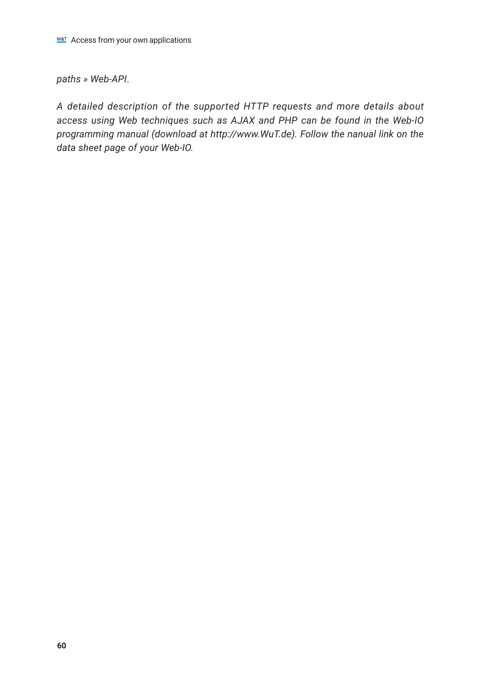#### *paths » Web-API*.

*A detailed description of the supported HTTP requests and more details about access using Web techniques such as AJAX and PHP can be found in the Web-IO programming manual (download at http://www.WuT.de). Follow the nanual link on the data sheet page of your Web-IO.*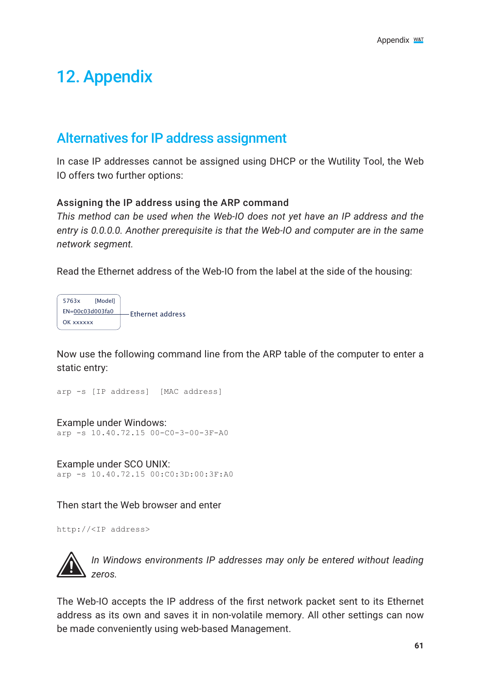# 12. Appendix

# Alternatives for IP address assignment

In case IP addresses cannot be assigned using DHCP or the Wutility Tool, the Web IO offers two further options:

#### Assigning the IP address using the ARP command

*This method can be used when the Web-IO does not yet have an IP address and the entry is 0.0.0.0. Another prerequisite is that the Web-IO and computer are in the same network segment.*

Read the Ethernet address of the Web-IO from the label at the side of the housing:



Now use the following command line from the ARP table of the computer to enter a static entry:

```
arp -s [IP address] [MAC address]
```
Example under Windows: arp -s 10.40.72.15 00-C0-3-00-3F-A0

Example under SCO UNIX: arp -s 10.40.72.15 00:C0:3D:00:3F:A0

Then start the Web browser and enter

http://<IP address>



*1In Windows environments IP addresses may only be entered without leading zeros.* 

The Web-IO accepts the IP address of the first network packet sent to its Ethernet address as its own and saves it in non-volatile memory. All other settings can now be made conveniently using web-based Management.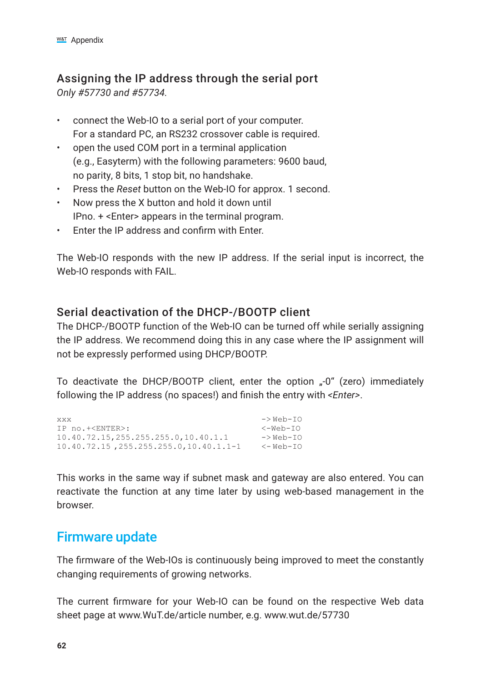# Assigning the IP address through the serial port

*Only #57730 and #57734.*

- connect the Web-IO to a serial port of your computer. For a standard PC, an RS232 crossover cable is required.
- open the used COM port in a terminal application (e.g., Easyterm) with the following parameters: 9600 baud, no parity, 8 bits, 1 stop bit, no handshake.
- Press the *Reset* button on the Web-IO for approx. 1 second.
- Now press the X button and hold it down until IPno. + <Enter> appears in the terminal program.
- Enter the IP address and confirm with Enter.

The Web-IO responds with the new IP address. If the serial input is incorrect, the Web-IO responds with FAIL.

# Serial deactivation of the DHCP-/BOOTP client

The DHCP-/BOOTP function of the Web-IO can be turned off while serially assigning the IP address. We recommend doing this in any case where the IP assignment will not be expressly performed using DHCP/BOOTP.

To deactivate the DHCP/BOOTP client, enter the option "-0" (zero) immediately following the IP address (no spaces!) and finish the entry with *<Enter>*.

```
xxx -> Web-IO
IP no.+<ENTER>: <-Web-IO
10.40.72.15,255.255.255.0,10.40.1.1 -> Web-IO<br>10.40.72.15.255.255.255.0.10.40.1.1-1 <- Web-IO
10.40.72.15, 255.255.255.0, 10.40.1.1-1
```
This works in the same way if subnet mask and gateway are also entered. You can reactivate the function at any time later by using web-based management in the browser.

# Firmware update

The firmware of the Web-IOs is continuously being improved to meet the constantly changing requirements of growing networks.

The current firmware for your Web-IO can be found on the respective Web data sheet page at www.WuT.de/article number, e.g. www.wut.de/57730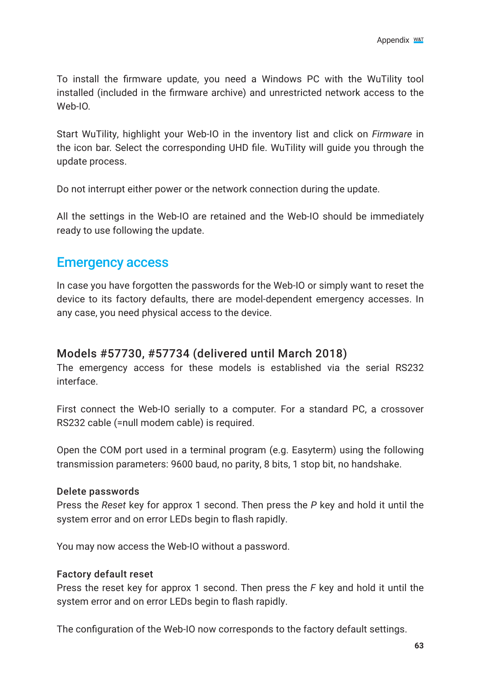To install the firmware update, you need a Windows PC with the WuTility tool installed (included in the firmware archive) and unrestricted network access to the Web-IO.

Start WuTility, highlight your Web-IO in the inventory list and click on *Firmware* in the icon bar. Select the corresponding UHD file. WuTility will guide you through the update process.

Do not interrupt either power or the network connection during the update.

All the settings in the Web-IO are retained and the Web-IO should be immediately ready to use following the update.

# Emergency access

In case you have forgotten the passwords for the Web-IO or simply want to reset the device to its factory defaults, there are model-dependent emergency accesses. In any case, you need physical access to the device.

#### Models #57730, #57734 (delivered until March 2018)

The emergency access for these models is established via the serial RS232 interface.

First connect the Web-IO serially to a computer. For a standard PC, a crossover RS232 cable (=null modem cable) is required.

Open the COM port used in a terminal program (e.g. Easyterm) using the following transmission parameters: 9600 baud, no parity, 8 bits, 1 stop bit, no handshake.

#### Delete passwords

Press the *Reset* key for approx 1 second. Then press the *P* key and hold it until the system error and on error LEDs begin to flash rapidly.

You may now access the Web-IO without a password.

#### Factory default reset

Press the reset key for approx 1 second. Then press the *F* key and hold it until the system error and on error LEDs begin to flash rapidly.

The configuration of the Web-IO now corresponds to the factory default settings.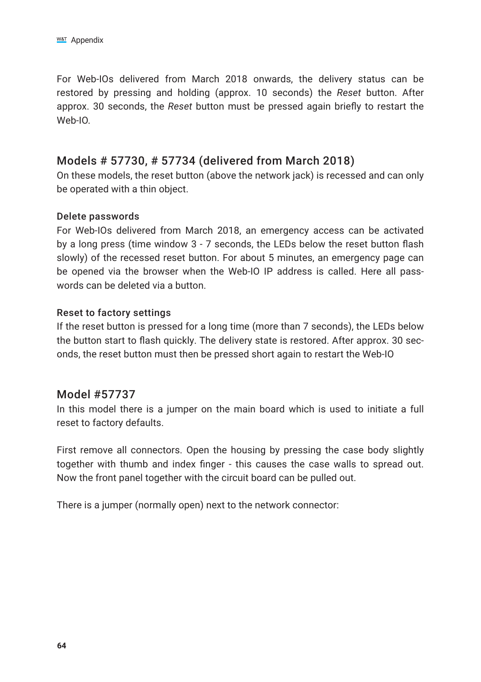For Web-IOs delivered from March 2018 onwards, the delivery status can be restored by pressing and holding (approx. 10 seconds) the *Reset* button. After approx. 30 seconds, the *Reset* button must be pressed again briefly to restart the Web-IO.

### Models # 57730, # 57734 (delivered from March 2018)

On these models, the reset button (above the network jack) is recessed and can only be operated with a thin object.

#### Delete passwords

For Web-IOs delivered from March 2018, an emergency access can be activated by a long press (time window 3 - 7 seconds, the LEDs below the reset button flash slowly) of the recessed reset button. For about 5 minutes, an emergency page can be opened via the browser when the Web-IO IP address is called. Here all passwords can be deleted via a button.

#### Reset to factory settings

If the reset button is pressed for a long time (more than 7 seconds), the LEDs below the button start to flash quickly. The delivery state is restored. After approx. 30 seconds, the reset button must then be pressed short again to restart the Web-IO

#### Model #57737

In this model there is a jumper on the main board which is used to initiate a full reset to factory defaults.

First remove all connectors. Open the housing by pressing the case body slightly together with thumb and index finger - this causes the case walls to spread out. Now the front panel together with the circuit board can be pulled out.

There is a jumper (normally open) next to the network connector: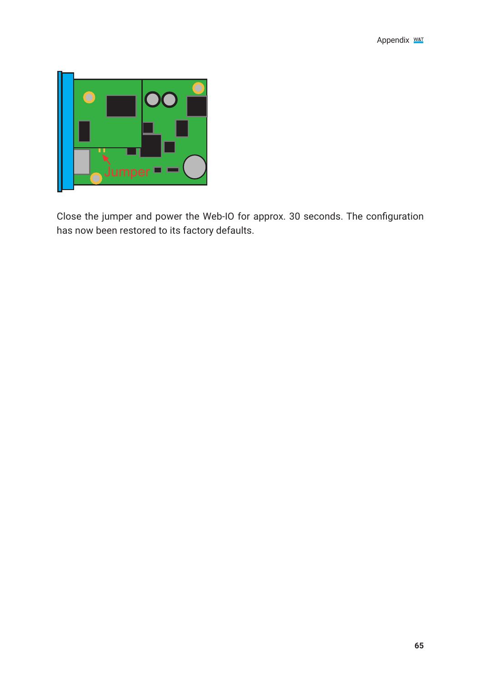

Close the jumper and power the Web-IO for approx. 30 seconds. The configuration has now been restored to its factory defaults.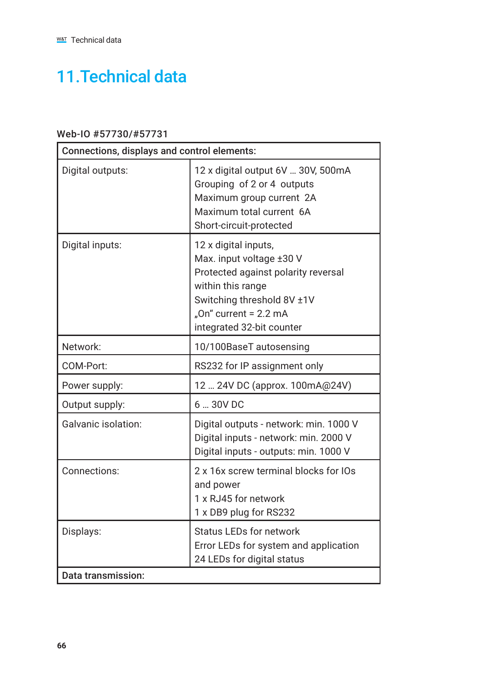# 11.Technical data

## Web-IO #57730/#57731

| Connections, displays and control elements: |                                                                                                                                                                                                  |  |  |
|---------------------------------------------|--------------------------------------------------------------------------------------------------------------------------------------------------------------------------------------------------|--|--|
| Digital outputs:                            | 12 x digital output 6V  30V, 500mA<br>Grouping of 2 or 4 outputs<br>Maximum group current 2A<br>Maximum total current 6A<br>Short-circuit-protected                                              |  |  |
| Digital inputs:                             | 12 x digital inputs,<br>Max. input voltage ±30 V<br>Protected against polarity reversal<br>within this range<br>Switching threshold 8V ±1V<br>"On" current = 2.2 mA<br>integrated 32-bit counter |  |  |
| Network:                                    | 10/100BaseT autosensing                                                                                                                                                                          |  |  |
| COM-Port:                                   | RS232 for IP assignment only                                                                                                                                                                     |  |  |
| Power supply:                               | 12  24V DC (approx. 100mA@24V)                                                                                                                                                                   |  |  |
| Output supply:                              | $6 - 30V$ DC                                                                                                                                                                                     |  |  |
| Galvanic isolation:                         | Digital outputs - network: min. 1000 V<br>Digital inputs - network: min. 2000 V<br>Digital inputs - outputs: min. 1000 V                                                                         |  |  |
| Connections:                                | 2 x 16x screw terminal blocks for IOs<br>and power<br>1 x RJ45 for network<br>1 x DB9 plug for RS232                                                                                             |  |  |
| Displays:                                   | Status LEDs for network<br>Error LEDs for system and application<br>24 LEDs for digital status                                                                                                   |  |  |
| Data transmission:                          |                                                                                                                                                                                                  |  |  |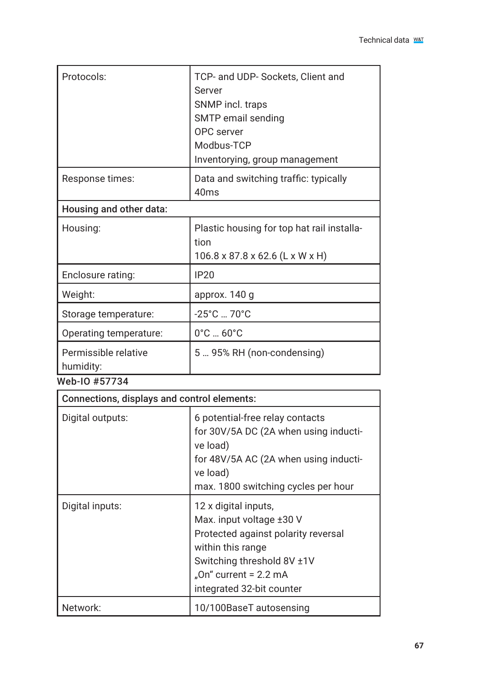| Protocols:                                             | TCP- and UDP- Sockets, Client and<br>Server<br>SNMP incl. traps<br>SMTP email sending<br>OPC server<br>Modbus-TCP |
|--------------------------------------------------------|-------------------------------------------------------------------------------------------------------------------|
|                                                        | Inventorying, group management                                                                                    |
| Response times:                                        | Data and switching traffic: typically<br>40 <sub>ms</sub>                                                         |
| Housing and other data:                                |                                                                                                                   |
| Housing:                                               | Plastic housing for top hat rail installa-<br>tion<br>106.8 x 87.8 x 62.6 (L x W x H)                             |
| Enclosure rating:                                      | IP20                                                                                                              |
| Weight:                                                | approx. 140 g                                                                                                     |
| Storage temperature:                                   | $-25^{\circ}$ C  70 $^{\circ}$ C                                                                                  |
| Operating temperature:                                 | $0^\circ$ C $60^\circ$ C                                                                                          |
| Permissible relative<br>humidity:<br>$MLL$ IO $LET79A$ | 5  95% RH (non-condensing)                                                                                        |

| Web-10 #57734 |  |
|---------------|--|
|---------------|--|

| Connections, displays and control elements: |                                                                                                                                                                                                  |  |
|---------------------------------------------|--------------------------------------------------------------------------------------------------------------------------------------------------------------------------------------------------|--|
| Digital outputs:                            | 6 potential-free relay contacts<br>for 30V/5A DC (2A when using inducti-<br>ve load)<br>for 48V/5A AC (2A when using inducti-<br>ve load)<br>max. 1800 switching cycles per hour                 |  |
| Digital inputs:                             | 12 x digital inputs,<br>Max. input voltage ±30 V<br>Protected against polarity reversal<br>within this range<br>Switching threshold 8V ±1V<br>"On" current = 2.2 mA<br>integrated 32-bit counter |  |
| Network:                                    | 10/100BaseT autosensing                                                                                                                                                                          |  |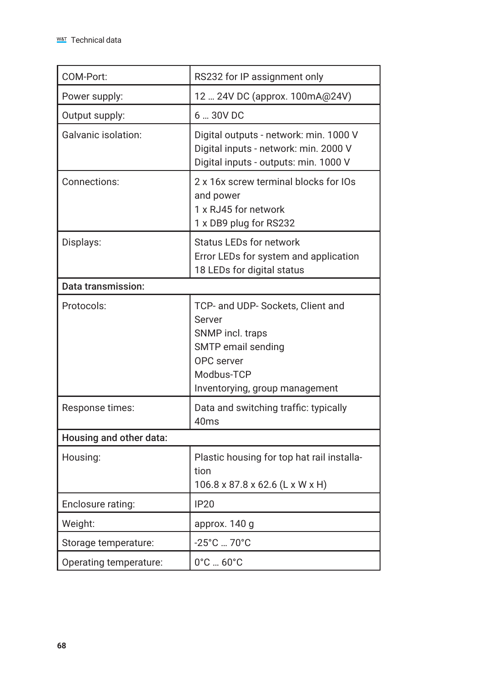| COM-Port:               | RS232 for IP assignment only                                                                                                                        |
|-------------------------|-----------------------------------------------------------------------------------------------------------------------------------------------------|
| Power supply:           | 12  24V DC (approx. 100mA@24V)                                                                                                                      |
| Output supply:          | 6  30V DC                                                                                                                                           |
| Galvanic isolation:     | Digital outputs - network: min. 1000 V<br>Digital inputs - network: min. 2000 V<br>Digital inputs - outputs: min. 1000 V                            |
| Connections:            | 2 x 16x screw terminal blocks for IOs<br>and power<br>1 x RJ45 for network<br>1 x DB9 plug for RS232                                                |
| Displays:               | <b>Status LEDs for network</b><br>Error LEDs for system and application<br>18 LEDs for digital status                                               |
| Data transmission:      |                                                                                                                                                     |
| Protocols:              | TCP- and UDP- Sockets, Client and<br>Server<br>SNMP incl. traps<br>SMTP email sending<br>OPC server<br>Modbus-TCP<br>Inventorying, group management |
| Response times:         | Data and switching traffic: typically<br>40ms                                                                                                       |
| Housing and other data: |                                                                                                                                                     |
| Housing:                | Plastic housing for top hat rail installa-<br>tion<br>106.8 x 87.8 x 62.6 (L x W x H)                                                               |
| Enclosure rating:       | IP20                                                                                                                                                |
| Weight:                 | approx. 140 g                                                                                                                                       |
| Storage temperature:    | -25°C  70°C                                                                                                                                         |
| Operating temperature:  | $0^{\circ}$ C $60^{\circ}$ C                                                                                                                        |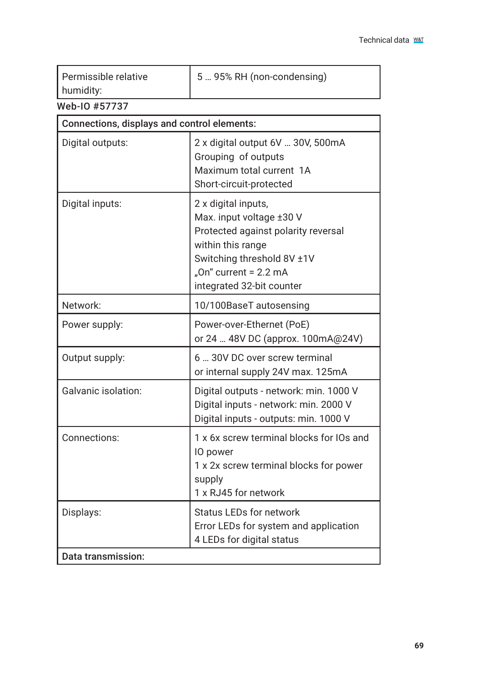| Permissible relative<br>humidity:           | 5  95% RH (non-condensing)                                                                                                                                                                      |
|---------------------------------------------|-------------------------------------------------------------------------------------------------------------------------------------------------------------------------------------------------|
| Web-IO #57737                               |                                                                                                                                                                                                 |
| Connections, displays and control elements: |                                                                                                                                                                                                 |
| Digital outputs:                            | 2 x digital output 6V  30V, 500mA<br>Grouping of outputs<br>Maximum total current 1A<br>Short-circuit-protected                                                                                 |
| Digital inputs:                             | 2 x digital inputs,<br>Max. input voltage ±30 V<br>Protected against polarity reversal<br>within this range<br>Switching threshold 8V ±1V<br>"On" current = 2.2 mA<br>integrated 32-bit counter |
| Network:                                    | 10/100BaseT autosensing                                                                                                                                                                         |
| Power supply:                               | Power-over-Ethernet (PoE)<br>or 24  48V DC (approx. 100mA@24V)                                                                                                                                  |
| Output supply:                              | 6  30V DC over screw terminal<br>or internal supply 24V max. 125mA                                                                                                                              |
| Galvanic isolation:                         | Digital outputs - network: min. 1000 V<br>Digital inputs - network: min. 2000 V<br>Digital inputs - outputs: min. 1000 V                                                                        |
| Connections:                                | 1 x 6x screw terminal blocks for IOs and<br>IO power<br>1 x 2x screw terminal blocks for power<br>supply<br>1 x RJ45 for network                                                                |
| Displays:                                   | <b>Status LEDs for network</b><br>Error LEDs for system and application<br>4 LEDs for digital status                                                                                            |
| Data transmission:                          |                                                                                                                                                                                                 |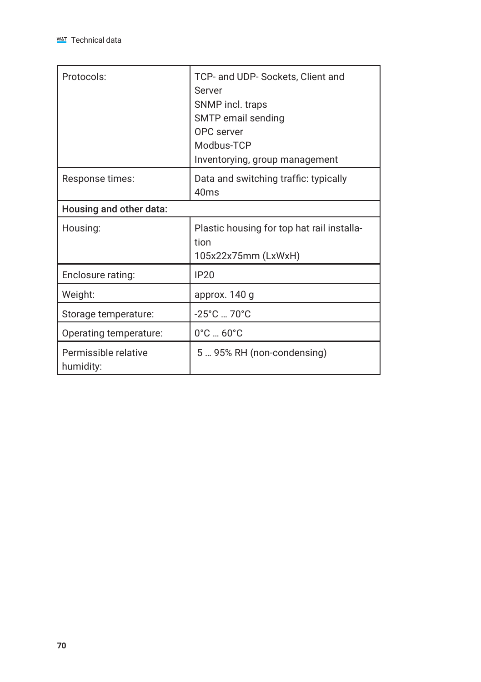| Protocols:                        | TCP- and UDP- Sockets, Client and<br>Server<br>SNMP incl. traps<br>SMTP email sending<br>OPC server<br>Modbus-TCP<br>Inventorying, group management |
|-----------------------------------|-----------------------------------------------------------------------------------------------------------------------------------------------------|
| Response times:                   | Data and switching traffic: typically<br>40 <sub>ms</sub>                                                                                           |
| Housing and other data:           |                                                                                                                                                     |
| Housing:                          | Plastic housing for top hat rail installa-<br>tion<br>105x22x75mm (LxWxH)                                                                           |
| Enclosure rating:                 | IP20                                                                                                                                                |
| Weight:                           | approx. 140 g                                                                                                                                       |
| Storage temperature:              | $-25^{\circ}$ C  70 $^{\circ}$ C                                                                                                                    |
| Operating temperature:            | $0^{\circ}$ C  60 $^{\circ}$ C                                                                                                                      |
| Permissible relative<br>humidity: | 5  95% RH (non-condensing)                                                                                                                          |